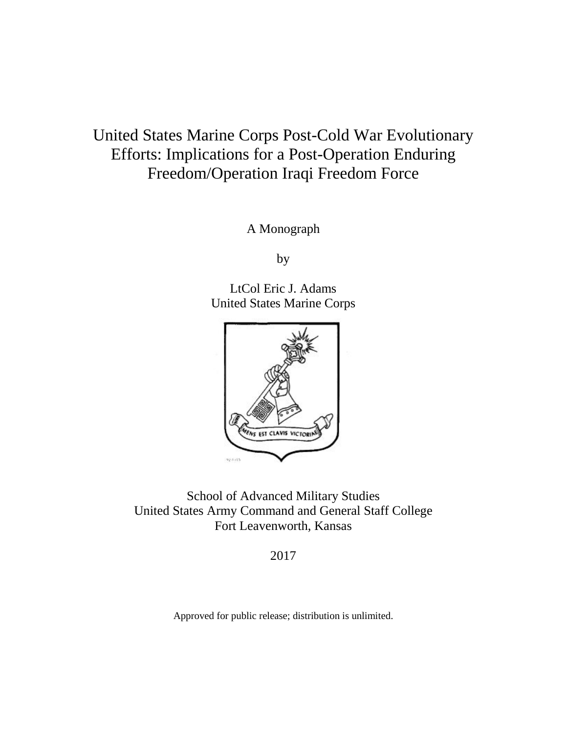## United States Marine Corps Post-Cold War Evolutionary Efforts: Implications for a Post-Operation Enduring Freedom/Operation Iraqi Freedom Force

A Monograph

by

LtCol Eric J. Adams United States Marine Corps



School of Advanced Military Studies United States Army Command and General Staff College Fort Leavenworth, Kansas

2017

Approved for public release; distribution is unlimited.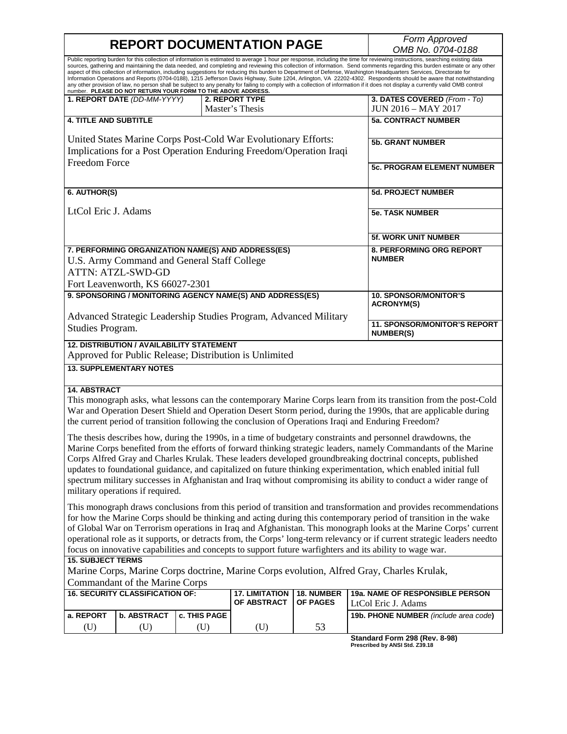# **REPORT DOCUMENTATION PAGE**

*OMB No. 0704-0188*

| Public reporting burden for this collection of information is estimated to average 1 hour per response, including the time for reviewing instructions, searching existing data<br>sources, gathering and maintaining the data needed, and completing and reviewing this collection of information. Send comments regarding this burden estimate or any other<br>aspect of this collection of information, including suggestions for reducing this burden to Department of Defense, Washington Headquarters Services, Directorate for<br>Information Operations and Reports (0704-0188), 1215 Jefferson Davis Highway, Suite 1204, Arlington, VA 22202-4302. Respondents should be aware that notwithstanding<br>any other provision of law, no person shall be subject to any penalty for failing to comply with a collection of information if it does not display a currently valid OMB control<br>number. PLEASE DO NOT RETURN YOUR FORM TO THE ABOVE ADDRESS. |                                                                         |              |                                                                  |                               |                                                                                                                  |  |  |
|-------------------------------------------------------------------------------------------------------------------------------------------------------------------------------------------------------------------------------------------------------------------------------------------------------------------------------------------------------------------------------------------------------------------------------------------------------------------------------------------------------------------------------------------------------------------------------------------------------------------------------------------------------------------------------------------------------------------------------------------------------------------------------------------------------------------------------------------------------------------------------------------------------------------------------------------------------------------|-------------------------------------------------------------------------|--------------|------------------------------------------------------------------|-------------------------------|------------------------------------------------------------------------------------------------------------------|--|--|
|                                                                                                                                                                                                                                                                                                                                                                                                                                                                                                                                                                                                                                                                                                                                                                                                                                                                                                                                                                   | 1. REPORT DATE (DD-MM-YYYY)                                             |              | 2. REPORT TYPE<br>Master's Thesis                                |                               | 3. DATES COVERED (From - To)<br><b>JUN 2016 - MAY 2017</b>                                                       |  |  |
| <b>4. TITLE AND SUBTITLE</b>                                                                                                                                                                                                                                                                                                                                                                                                                                                                                                                                                                                                                                                                                                                                                                                                                                                                                                                                      |                                                                         |              |                                                                  |                               | <b>5a. CONTRACT NUMBER</b>                                                                                       |  |  |
| United States Marine Corps Post-Cold War Evolutionary Efforts:<br>Implications for a Post Operation Enduring Freedom/Operation Iraqi                                                                                                                                                                                                                                                                                                                                                                                                                                                                                                                                                                                                                                                                                                                                                                                                                              |                                                                         |              |                                                                  |                               | <b>5b. GRANT NUMBER</b>                                                                                          |  |  |
| <b>Freedom Force</b>                                                                                                                                                                                                                                                                                                                                                                                                                                                                                                                                                                                                                                                                                                                                                                                                                                                                                                                                              |                                                                         |              |                                                                  |                               | <b>5c. PROGRAM ELEMENT NUMBER</b>                                                                                |  |  |
| 6. AUTHOR(S)                                                                                                                                                                                                                                                                                                                                                                                                                                                                                                                                                                                                                                                                                                                                                                                                                                                                                                                                                      |                                                                         |              |                                                                  |                               | 5d. PROJECT NUMBER                                                                                               |  |  |
| LtCol Eric J. Adams                                                                                                                                                                                                                                                                                                                                                                                                                                                                                                                                                                                                                                                                                                                                                                                                                                                                                                                                               |                                                                         |              |                                                                  |                               | <b>5e. TASK NUMBER</b>                                                                                           |  |  |
|                                                                                                                                                                                                                                                                                                                                                                                                                                                                                                                                                                                                                                                                                                                                                                                                                                                                                                                                                                   |                                                                         |              |                                                                  |                               | 5f. WORK UNIT NUMBER                                                                                             |  |  |
|                                                                                                                                                                                                                                                                                                                                                                                                                                                                                                                                                                                                                                                                                                                                                                                                                                                                                                                                                                   |                                                                         |              | 7. PERFORMING ORGANIZATION NAME(S) AND ADDRESS(ES)               |                               | 8. PERFORMING ORG REPORT                                                                                         |  |  |
|                                                                                                                                                                                                                                                                                                                                                                                                                                                                                                                                                                                                                                                                                                                                                                                                                                                                                                                                                                   | U.S. Army Command and General Staff College<br><b>ATTN: ATZL-SWD-GD</b> |              |                                                                  |                               | <b>NUMBER</b>                                                                                                    |  |  |
|                                                                                                                                                                                                                                                                                                                                                                                                                                                                                                                                                                                                                                                                                                                                                                                                                                                                                                                                                                   | Fort Leavenworth, KS 66027-2301                                         |              |                                                                  |                               |                                                                                                                  |  |  |
|                                                                                                                                                                                                                                                                                                                                                                                                                                                                                                                                                                                                                                                                                                                                                                                                                                                                                                                                                                   |                                                                         |              | 9. SPONSORING / MONITORING AGENCY NAME(S) AND ADDRESS(ES)        |                               | <b>10. SPONSOR/MONITOR'S</b>                                                                                     |  |  |
|                                                                                                                                                                                                                                                                                                                                                                                                                                                                                                                                                                                                                                                                                                                                                                                                                                                                                                                                                                   |                                                                         |              |                                                                  |                               | <b>ACRONYM(S)</b>                                                                                                |  |  |
|                                                                                                                                                                                                                                                                                                                                                                                                                                                                                                                                                                                                                                                                                                                                                                                                                                                                                                                                                                   |                                                                         |              | Advanced Strategic Leadership Studies Program, Advanced Military |                               | <b>11. SPONSOR/MONITOR'S REPORT</b>                                                                              |  |  |
| Studies Program.                                                                                                                                                                                                                                                                                                                                                                                                                                                                                                                                                                                                                                                                                                                                                                                                                                                                                                                                                  |                                                                         |              |                                                                  |                               | <b>NUMBER(S)</b>                                                                                                 |  |  |
|                                                                                                                                                                                                                                                                                                                                                                                                                                                                                                                                                                                                                                                                                                                                                                                                                                                                                                                                                                   | <b>12. DISTRIBUTION / AVAILABILITY STATEMENT</b>                        |              |                                                                  |                               |                                                                                                                  |  |  |
|                                                                                                                                                                                                                                                                                                                                                                                                                                                                                                                                                                                                                                                                                                                                                                                                                                                                                                                                                                   | <b>13. SUPPLEMENTARY NOTES</b>                                          |              | Approved for Public Release; Distribution is Unlimited           |                               |                                                                                                                  |  |  |
|                                                                                                                                                                                                                                                                                                                                                                                                                                                                                                                                                                                                                                                                                                                                                                                                                                                                                                                                                                   |                                                                         |              |                                                                  |                               |                                                                                                                  |  |  |
| <b>14. ABSTRACT</b>                                                                                                                                                                                                                                                                                                                                                                                                                                                                                                                                                                                                                                                                                                                                                                                                                                                                                                                                               |                                                                         |              |                                                                  |                               |                                                                                                                  |  |  |
|                                                                                                                                                                                                                                                                                                                                                                                                                                                                                                                                                                                                                                                                                                                                                                                                                                                                                                                                                                   |                                                                         |              |                                                                  |                               | This monograph asks, what lessons can the contemporary Marine Corps learn from its transition from the post-Cold |  |  |
| War and Operation Desert Shield and Operation Desert Storm period, during the 1990s, that are applicable during<br>the current period of transition following the conclusion of Operations Iraqi and Enduring Freedom?                                                                                                                                                                                                                                                                                                                                                                                                                                                                                                                                                                                                                                                                                                                                            |                                                                         |              |                                                                  |                               |                                                                                                                  |  |  |
| The thesis describes how, during the 1990s, in a time of budgetary constraints and personnel drawdowns, the                                                                                                                                                                                                                                                                                                                                                                                                                                                                                                                                                                                                                                                                                                                                                                                                                                                       |                                                                         |              |                                                                  |                               |                                                                                                                  |  |  |
| Marine Corps benefited from the efforts of forward thinking strategic leaders, namely Commandants of the Marine                                                                                                                                                                                                                                                                                                                                                                                                                                                                                                                                                                                                                                                                                                                                                                                                                                                   |                                                                         |              |                                                                  |                               |                                                                                                                  |  |  |
| Corps Alfred Gray and Charles Krulak. These leaders developed groundbreaking doctrinal concepts, published<br>updates to foundational guidance, and capitalized on future thinking experimentation, which enabled initial full                                                                                                                                                                                                                                                                                                                                                                                                                                                                                                                                                                                                                                                                                                                                    |                                                                         |              |                                                                  |                               |                                                                                                                  |  |  |
| spectrum military successes in Afghanistan and Iraq without compromising its ability to conduct a wider range of                                                                                                                                                                                                                                                                                                                                                                                                                                                                                                                                                                                                                                                                                                                                                                                                                                                  |                                                                         |              |                                                                  |                               |                                                                                                                  |  |  |
| military operations if required.                                                                                                                                                                                                                                                                                                                                                                                                                                                                                                                                                                                                                                                                                                                                                                                                                                                                                                                                  |                                                                         |              |                                                                  |                               |                                                                                                                  |  |  |
| This monograph draws conclusions from this period of transition and transformation and provides recommendations<br>for how the Marine Corps should be thinking and acting during this contemporary period of transition in the wake<br>of Global War on Terrorism operations in Iraq and Afghanistan. This monograph looks at the Marine Corps' current<br>operational role as it supports, or detracts from, the Corps' long-term relevancy or if current strategic leaders needto<br>focus on innovative capabilities and concepts to support future warfighters and its ability to wage war.                                                                                                                                                                                                                                                                                                                                                                   |                                                                         |              |                                                                  |                               |                                                                                                                  |  |  |
| <b>15. SUBJECT TERMS</b>                                                                                                                                                                                                                                                                                                                                                                                                                                                                                                                                                                                                                                                                                                                                                                                                                                                                                                                                          |                                                                         |              |                                                                  |                               |                                                                                                                  |  |  |
|                                                                                                                                                                                                                                                                                                                                                                                                                                                                                                                                                                                                                                                                                                                                                                                                                                                                                                                                                                   |                                                                         |              |                                                                  |                               | Marine Corps, Marine Corps doctrine, Marine Corps evolution, Alfred Gray, Charles Krulak,                        |  |  |
|                                                                                                                                                                                                                                                                                                                                                                                                                                                                                                                                                                                                                                                                                                                                                                                                                                                                                                                                                                   | Commandant of the Marine Corps                                          |              |                                                                  |                               |                                                                                                                  |  |  |
|                                                                                                                                                                                                                                                                                                                                                                                                                                                                                                                                                                                                                                                                                                                                                                                                                                                                                                                                                                   | <b>16. SECURITY CLASSIFICATION OF:</b>                                  |              | <b>17. LIMITATION</b><br>OF ABSTRACT                             | 18. NUMBER<br><b>OF PAGES</b> | 19a. NAME OF RESPONSIBLE PERSON<br>LtCol Eric J. Adams                                                           |  |  |
| a. REPORT                                                                                                                                                                                                                                                                                                                                                                                                                                                                                                                                                                                                                                                                                                                                                                                                                                                                                                                                                         | b. ABSTRACT                                                             | c. THIS PAGE |                                                                  |                               | 19b. PHONE NUMBER (include area code)                                                                            |  |  |
| (U)                                                                                                                                                                                                                                                                                                                                                                                                                                                                                                                                                                                                                                                                                                                                                                                                                                                                                                                                                               | (U)                                                                     | (U)          | (U)                                                              | 53                            |                                                                                                                  |  |  |
|                                                                                                                                                                                                                                                                                                                                                                                                                                                                                                                                                                                                                                                                                                                                                                                                                                                                                                                                                                   |                                                                         |              |                                                                  |                               | Standard Form 298 (Rev. 8-98)<br>Prescribed by ANSI Std. Z39.18                                                  |  |  |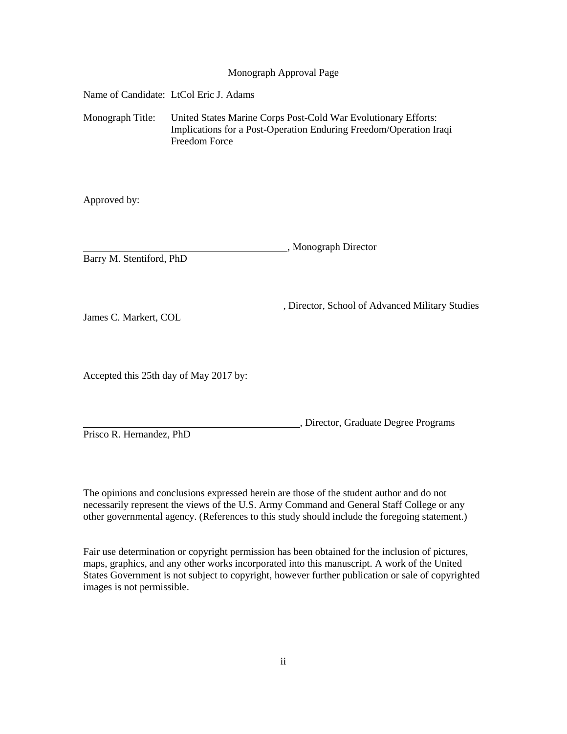#### Monograph Approval Page

Name of Candidate: LtCol Eric J. Adams

Monograph Title: United States Marine Corps Post-Cold War Evolutionary Efforts: Implications for a Post-Operation Enduring Freedom/Operation Iraqi Freedom Force

Approved by:

, Monograph Director Barry M. Stentiford, PhD

, Director, School of Advanced Military Studies James C. Markert, COL

Accepted this 25th day of May 2017 by:

, Director, Graduate Degree Programs

Prisco R. Hernandez, PhD

The opinions and conclusions expressed herein are those of the student author and do not necessarily represent the views of the U.S. Army Command and General Staff College or any other governmental agency. (References to this study should include the foregoing statement.)

Fair use determination or copyright permission has been obtained for the inclusion of pictures, maps, graphics, and any other works incorporated into this manuscript. A work of the United States Government is not subject to copyright, however further publication or sale of copyrighted images is not permissible.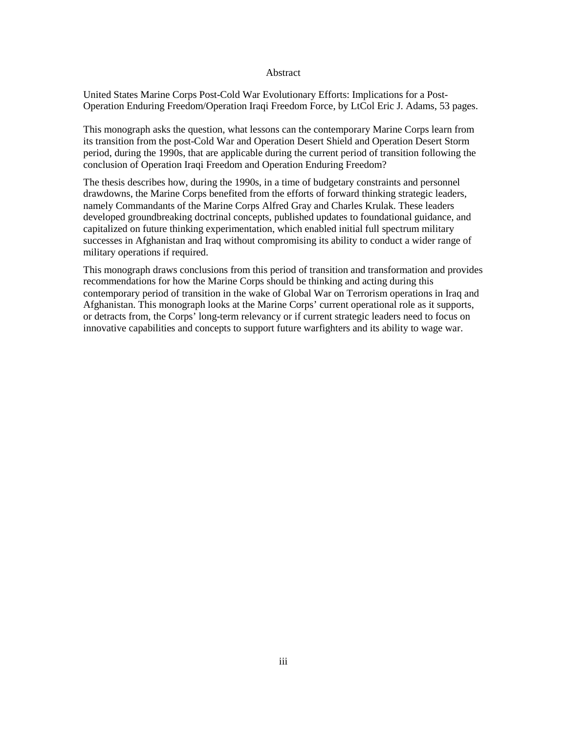#### Abstract

United States Marine Corps Post-Cold War Evolutionary Efforts: Implications for a Post-Operation Enduring Freedom/Operation Iraqi Freedom Force, by LtCol Eric J. Adams, 53 pages.

This monograph asks the question, what lessons can the contemporary Marine Corps learn from its transition from the post-Cold War and Operation Desert Shield and Operation Desert Storm period, during the 1990s, that are applicable during the current period of transition following the conclusion of Operation Iraqi Freedom and Operation Enduring Freedom?

The thesis describes how, during the 1990s, in a time of budgetary constraints and personnel drawdowns, the Marine Corps benefited from the efforts of forward thinking strategic leaders, namely Commandants of the Marine Corps Alfred Gray and Charles Krulak. These leaders developed groundbreaking doctrinal concepts, published updates to foundational guidance, and capitalized on future thinking experimentation, which enabled initial full spectrum military successes in Afghanistan and Iraq without compromising its ability to conduct a wider range of military operations if required.

This monograph draws conclusions from this period of transition and transformation and provides recommendations for how the Marine Corps should be thinking and acting during this contemporary period of transition in the wake of Global War on Terrorism operations in Iraq and Afghanistan. This monograph looks at the Marine Corps' current operational role as it supports, or detracts from, the Corps' long-term relevancy or if current strategic leaders need to focus on innovative capabilities and concepts to support future warfighters and its ability to wage war.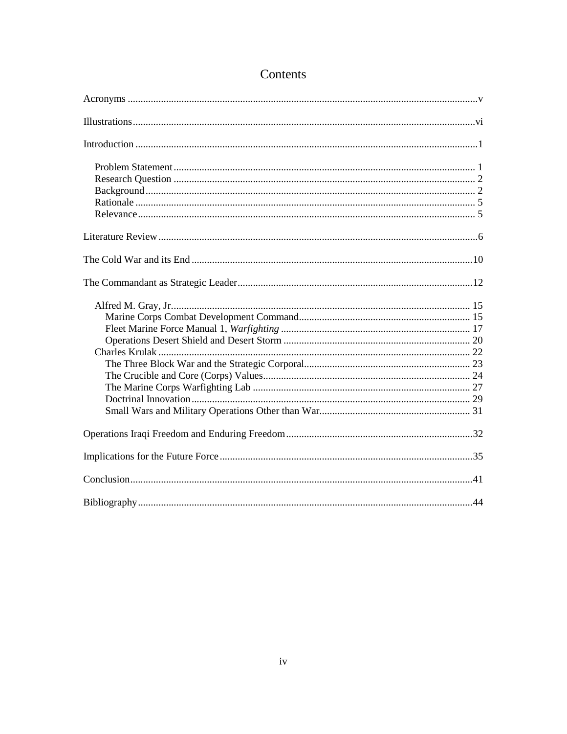## Contents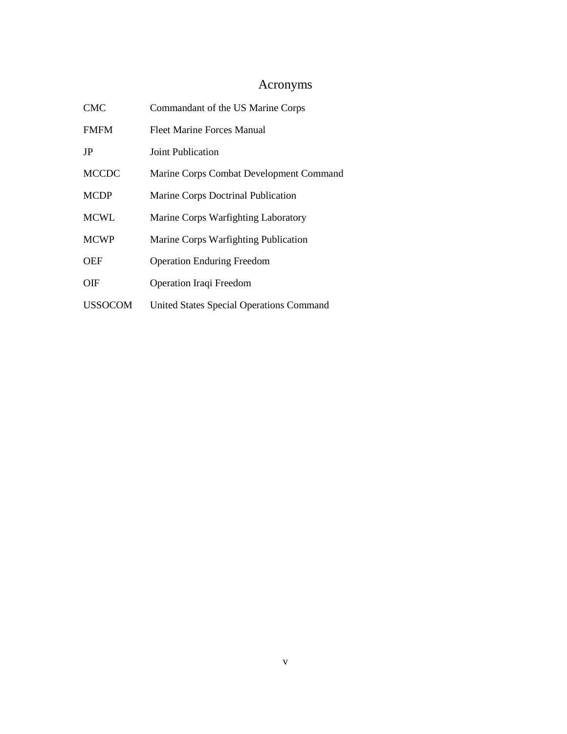## Acronyms

<span id="page-5-0"></span>

| <b>CMC</b>     | Commandant of the US Marine Corps               |
|----------------|-------------------------------------------------|
| <b>FMFM</b>    | Fleet Marine Forces Manual                      |
| JP             | Joint Publication                               |
| <b>MCCDC</b>   | Marine Corps Combat Development Command         |
| <b>MCDP</b>    | Marine Corps Doctrinal Publication              |
| <b>MCWL</b>    | Marine Corps Warfighting Laboratory             |
| <b>MCWP</b>    | Marine Corps Warfighting Publication            |
| <b>OEF</b>     | <b>Operation Enduring Freedom</b>               |
| OIF            | Operation Iraqi Freedom                         |
| <b>USSOCOM</b> | <b>United States Special Operations Command</b> |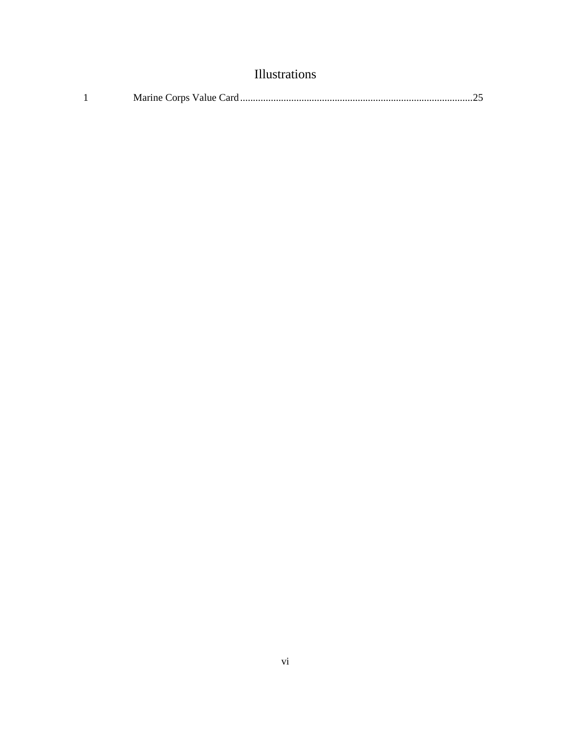<span id="page-6-0"></span>

| <b>Illustrations</b> |  |
|----------------------|--|
|                      |  |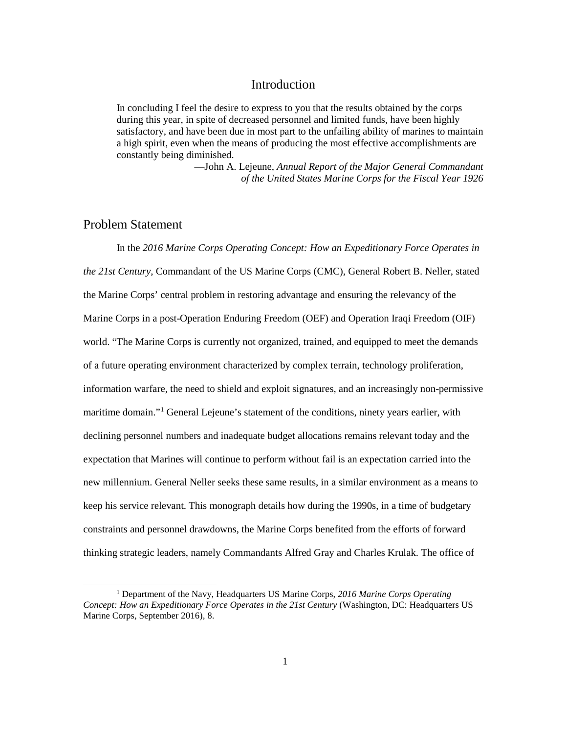## Introduction

<span id="page-7-0"></span>In concluding I feel the desire to express to you that the results obtained by the corps during this year, in spite of decreased personnel and limited funds, have been highly satisfactory, and have been due in most part to the unfailing ability of marines to maintain a high spirit, even when the means of producing the most effective accomplishments are constantly being diminished.

> —John A. Lejeune, *Annual Report of the Major General Commandant of the United States Marine Corps for the Fiscal Year 1926*

## <span id="page-7-1"></span>Problem Statement

In the *2016 Marine Corps Operating Concept: How an Expeditionary Force Operates in the 21st Century*, Commandant of the US Marine Corps (CMC), General Robert B. Neller, stated the Marine Corps' central problem in restoring advantage and ensuring the relevancy of the Marine Corps in a post-Operation Enduring Freedom (OEF) and Operation Iraqi Freedom (OIF) world. "The Marine Corps is currently not organized, trained, and equipped to meet the demands of a future operating environment characterized by complex terrain, technology proliferation, information warfare, the need to shield and exploit signatures, and an increasingly non-permissive maritime domain."<sup>[1](#page-7-2)</sup> General Lejeune's statement of the conditions, ninety years earlier, with declining personnel numbers and inadequate budget allocations remains relevant today and the expectation that Marines will continue to perform without fail is an expectation carried into the new millennium. General Neller seeks these same results, in a similar environment as a means to keep his service relevant. This monograph details how during the 1990s, in a time of budgetary constraints and personnel drawdowns, the Marine Corps benefited from the efforts of forward thinking strategic leaders, namely Commandants Alfred Gray and Charles Krulak. The office of

<span id="page-7-2"></span> <sup>1</sup> Department of the Navy, Headquarters US Marine Corps, *2016 Marine Corps Operating Concept: How an Expeditionary Force Operates in the 21st Century* (Washington, DC: Headquarters US Marine Corps, September 2016), 8.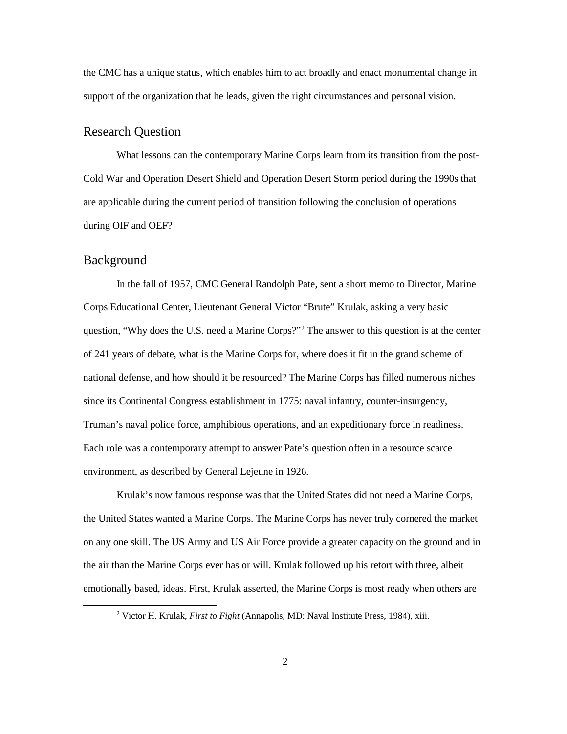the CMC has a unique status, which enables him to act broadly and enact monumental change in support of the organization that he leads, given the right circumstances and personal vision.

## <span id="page-8-0"></span>Research Question

What lessons can the contemporary Marine Corps learn from its transition from the post-Cold War and Operation Desert Shield and Operation Desert Storm period during the 1990s that are applicable during the current period of transition following the conclusion of operations during OIF and OEF?

#### <span id="page-8-1"></span>Background

In the fall of 1957, CMC General Randolph Pate, sent a short memo to Director, Marine Corps Educational Center, Lieutenant General Victor "Brute" Krulak, asking a very basic question, "Why does the U.S. need a Marine Corps?"<sup>[2](#page-8-2)</sup> The answer to this question is at the center of 241 years of debate, what is the Marine Corps for, where does it fit in the grand scheme of national defense, and how should it be resourced? The Marine Corps has filled numerous niches since its Continental Congress establishment in 1775: naval infantry, counter-insurgency, Truman's naval police force, amphibious operations, and an expeditionary force in readiness. Each role was a contemporary attempt to answer Pate's question often in a resource scarce environment, as described by General Lejeune in 1926.

Krulak's now famous response was that the United States did not need a Marine Corps, the United States wanted a Marine Corps. The Marine Corps has never truly cornered the market on any one skill. The US Army and US Air Force provide a greater capacity on the ground and in the air than the Marine Corps ever has or will. Krulak followed up his retort with three, albeit emotionally based, ideas. First, Krulak asserted, the Marine Corps is most ready when others are

<span id="page-8-2"></span> <sup>2</sup> Victor H. Krulak, *First to Fight* (Annapolis, MD: Naval Institute Press, 1984), xiii.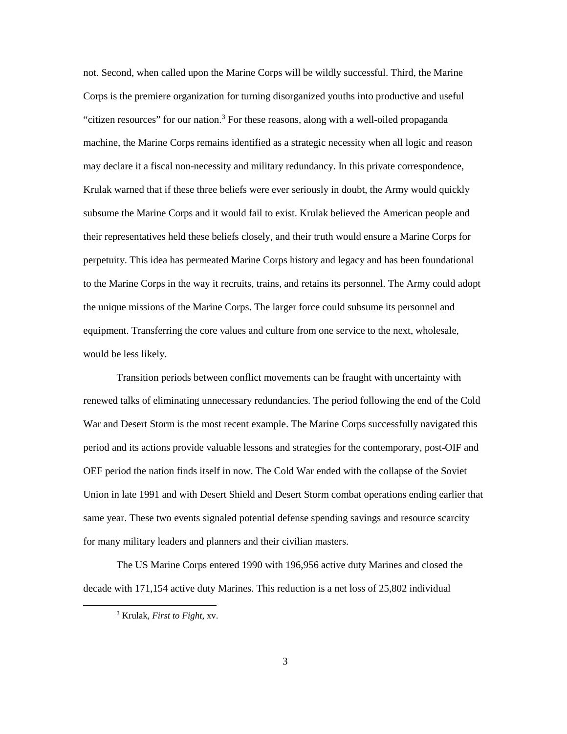not. Second, when called upon the Marine Corps will be wildly successful. Third, the Marine Corps is the premiere organization for turning disorganized youths into productive and useful "citizen resources" for our nation.<sup>[3](#page-9-0)</sup> For these reasons, along with a well-oiled propaganda machine, the Marine Corps remains identified as a strategic necessity when all logic and reason may declare it a fiscal non-necessity and military redundancy. In this private correspondence, Krulak warned that if these three beliefs were ever seriously in doubt, the Army would quickly subsume the Marine Corps and it would fail to exist. Krulak believed the American people and their representatives held these beliefs closely, and their truth would ensure a Marine Corps for perpetuity. This idea has permeated Marine Corps history and legacy and has been foundational to the Marine Corps in the way it recruits, trains, and retains its personnel. The Army could adopt the unique missions of the Marine Corps. The larger force could subsume its personnel and equipment. Transferring the core values and culture from one service to the next, wholesale, would be less likely.

Transition periods between conflict movements can be fraught with uncertainty with renewed talks of eliminating unnecessary redundancies. The period following the end of the Cold War and Desert Storm is the most recent example. The Marine Corps successfully navigated this period and its actions provide valuable lessons and strategies for the contemporary, post-OIF and OEF period the nation finds itself in now. The Cold War ended with the collapse of the Soviet Union in late 1991 and with Desert Shield and Desert Storm combat operations ending earlier that same year. These two events signaled potential defense spending savings and resource scarcity for many military leaders and planners and their civilian masters.

<span id="page-9-0"></span>The US Marine Corps entered 1990 with 196,956 active duty Marines and closed the decade with 171,154 active duty Marines. This reduction is a net loss of 25,802 individual

 <sup>3</sup> Krulak, *First to Fight*, xv.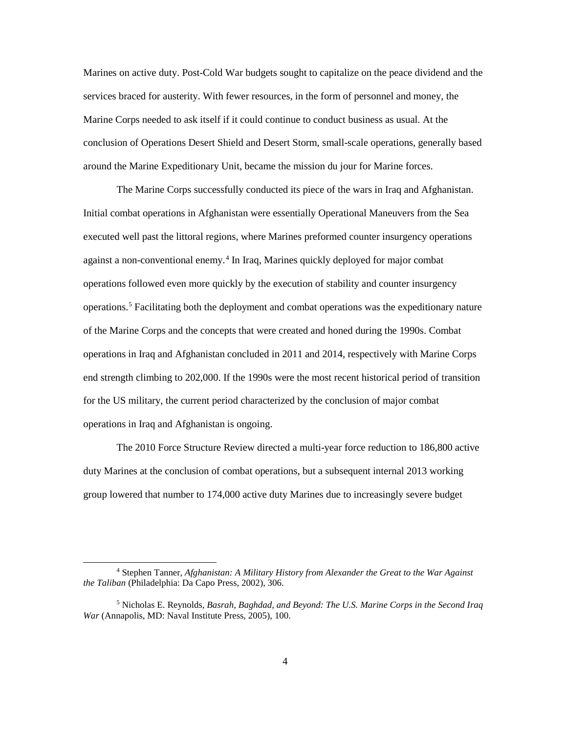Marines on active duty. Post-Cold War budgets sought to capitalize on the peace dividend and the services braced for austerity. With fewer resources, in the form of personnel and money, the Marine Corps needed to ask itself if it could continue to conduct business as usual. At the conclusion of Operations Desert Shield and Desert Storm, small-scale operations, generally based around the Marine Expeditionary Unit, became the mission du jour for Marine forces.

The Marine Corps successfully conducted its piece of the wars in Iraq and Afghanistan. Initial combat operations in Afghanistan were essentially Operational Maneuvers from the Sea executed well past the littoral regions, where Marines preformed counter insurgency operations against a non-conventional enemy.<sup>[4](#page-10-0)</sup> In Iraq, Marines quickly deployed for major combat operations followed even more quickly by the execution of stability and counter insurgency operations.[5](#page-10-1) Facilitating both the deployment and combat operations was the expeditionary nature of the Marine Corps and the concepts that were created and honed during the 1990s. Combat operations in Iraq and Afghanistan concluded in 2011 and 2014, respectively with Marine Corps end strength climbing to 202,000. If the 1990s were the most recent historical period of transition for the US military, the current period characterized by the conclusion of major combat operations in Iraq and Afghanistan is ongoing.

The 2010 Force Structure Review directed a multi-year force reduction to 186,800 active duty Marines at the conclusion of combat operations, but a subsequent internal 2013 working group lowered that number to 174,000 active duty Marines due to increasingly severe budget

<span id="page-10-0"></span> <sup>4</sup> Stephen Tanner, *Afghanistan: A Military History from Alexander the Great to the War Against the Taliban* (Philadelphia: Da Capo Press, 2002), 306.

<span id="page-10-1"></span><sup>5</sup> Nicholas E. Reynolds, *Basrah, Baghdad, and Beyond: The U.S. Marine Corps in the Second Iraq War* (Annapolis, MD: Naval Institute Press, 2005), 100.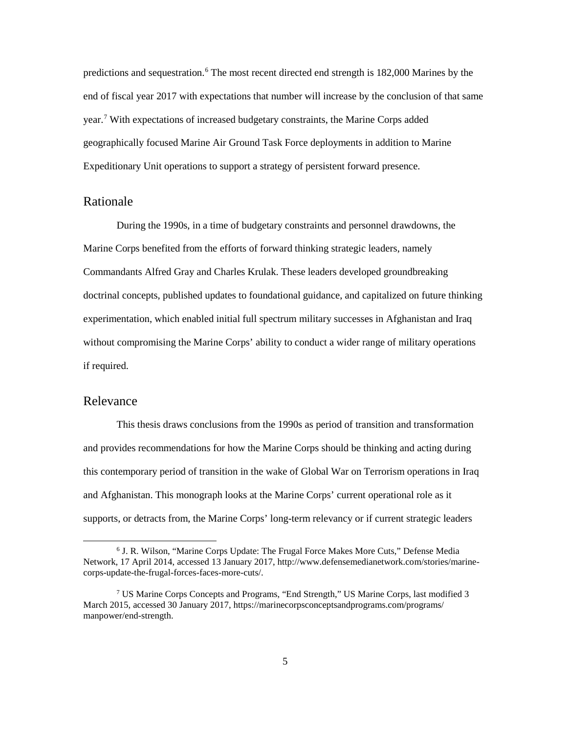predictions and sequestration.<sup>[6](#page-11-2)</sup> The most recent directed end strength is 182,000 Marines by the end of fiscal year 2017 with expectations that number will increase by the conclusion of that same year.[7](#page-11-3) With expectations of increased budgetary constraints, the Marine Corps added geographically focused Marine Air Ground Task Force deployments in addition to Marine Expeditionary Unit operations to support a strategy of persistent forward presence.

#### <span id="page-11-0"></span>Rationale

During the 1990s, in a time of budgetary constraints and personnel drawdowns, the Marine Corps benefited from the efforts of forward thinking strategic leaders, namely Commandants Alfred Gray and Charles Krulak. These leaders developed groundbreaking doctrinal concepts, published updates to foundational guidance, and capitalized on future thinking experimentation, which enabled initial full spectrum military successes in Afghanistan and Iraq without compromising the Marine Corps' ability to conduct a wider range of military operations if required.

#### <span id="page-11-1"></span>Relevance

This thesis draws conclusions from the 1990s as period of transition and transformation and provides recommendations for how the Marine Corps should be thinking and acting during this contemporary period of transition in the wake of Global War on Terrorism operations in Iraq and Afghanistan. This monograph looks at the Marine Corps' current operational role as it supports, or detracts from, the Marine Corps' long-term relevancy or if current strategic leaders

<span id="page-11-2"></span> <sup>6</sup> J. R. Wilson, "Marine Corps Update: The Frugal Force Makes More Cuts," Defense Media Network, 17 April 2014, accessed 13 January 2017, http://www.defensemedianetwork.com/stories/marinecorps-update-the-frugal-forces-faces-more-cuts/.

<span id="page-11-3"></span><sup>7</sup> US Marine Corps Concepts and Programs, "End Strength," US Marine Corps, last modified 3 March 2015, accessed 30 January 2017, https://marinecorpsconceptsandprograms.com/programs/ manpower/end-strength.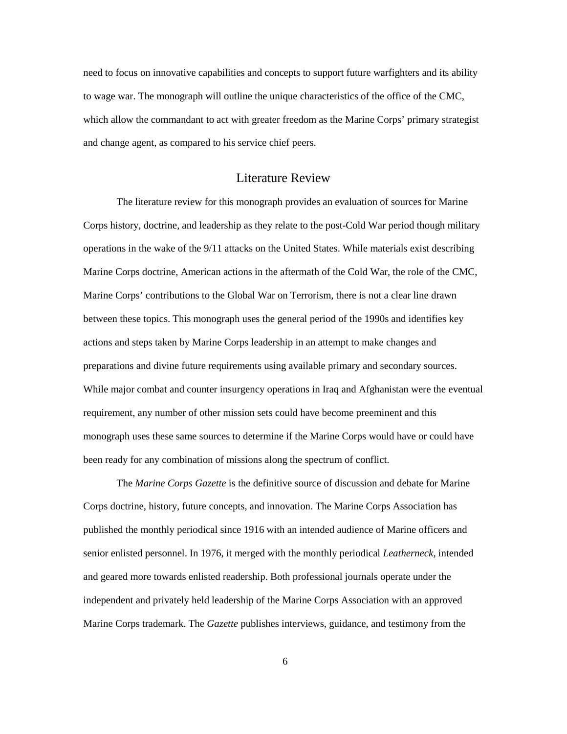need to focus on innovative capabilities and concepts to support future warfighters and its ability to wage war. The monograph will outline the unique characteristics of the office of the CMC, which allow the commandant to act with greater freedom as the Marine Corps' primary strategist and change agent, as compared to his service chief peers.

## Literature Review

<span id="page-12-0"></span>The literature review for this monograph provides an evaluation of sources for Marine Corps history, doctrine, and leadership as they relate to the post-Cold War period though military operations in the wake of the 9/11 attacks on the United States. While materials exist describing Marine Corps doctrine, American actions in the aftermath of the Cold War, the role of the CMC, Marine Corps' contributions to the Global War on Terrorism, there is not a clear line drawn between these topics. This monograph uses the general period of the 1990s and identifies key actions and steps taken by Marine Corps leadership in an attempt to make changes and preparations and divine future requirements using available primary and secondary sources. While major combat and counter insurgency operations in Iraq and Afghanistan were the eventual requirement, any number of other mission sets could have become preeminent and this monograph uses these same sources to determine if the Marine Corps would have or could have been ready for any combination of missions along the spectrum of conflict.

The *Marine Corps Gazette* is the definitive source of discussion and debate for Marine Corps doctrine, history, future concepts, and innovation. The Marine Corps Association has published the monthly periodical since 1916 with an intended audience of Marine officers and senior enlisted personnel. In 1976, it merged with the monthly periodical *Leatherneck*, intended and geared more towards enlisted readership. Both professional journals operate under the independent and privately held leadership of the Marine Corps Association with an approved Marine Corps trademark. The *Gazette* publishes interviews, guidance, and testimony from the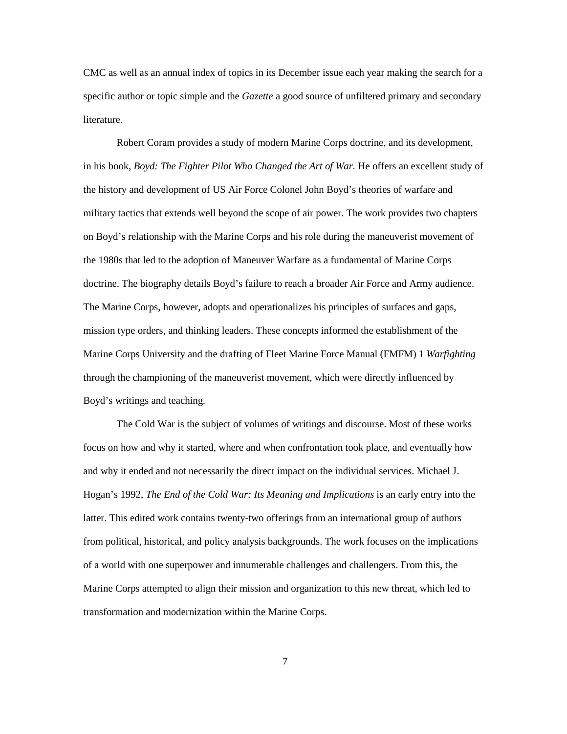CMC as well as an annual index of topics in its December issue each year making the search for a specific author or topic simple and the *Gazette* a good source of unfiltered primary and secondary literature.

Robert Coram provides a study of modern Marine Corps doctrine, and its development, in his book, *Boyd: The Fighter Pilot Who Changed the Art of War.* He offers an excellent study of the history and development of US Air Force Colonel John Boyd's theories of warfare and military tactics that extends well beyond the scope of air power. The work provides two chapters on Boyd's relationship with the Marine Corps and his role during the maneuverist movement of the 1980s that led to the adoption of Maneuver Warfare as a fundamental of Marine Corps doctrine. The biography details Boyd's failure to reach a broader Air Force and Army audience. The Marine Corps, however, adopts and operationalizes his principles of surfaces and gaps, mission type orders, and thinking leaders. These concepts informed the establishment of the Marine Corps University and the drafting of Fleet Marine Force Manual (FMFM) 1 *Warfighting*  through the championing of the maneuverist movement, which were directly influenced by Boyd's writings and teaching.

The Cold War is the subject of volumes of writings and discourse. Most of these works focus on how and why it started, where and when confrontation took place, and eventually how and why it ended and not necessarily the direct impact on the individual services. Michael J. Hogan's 1992, *The End of the Cold War: Its Meaning and Implications* is an early entry into the latter. This edited work contains twenty-two offerings from an international group of authors from political, historical, and policy analysis backgrounds. The work focuses on the implications of a world with one superpower and innumerable challenges and challengers. From this, the Marine Corps attempted to align their mission and organization to this new threat, which led to transformation and modernization within the Marine Corps.

7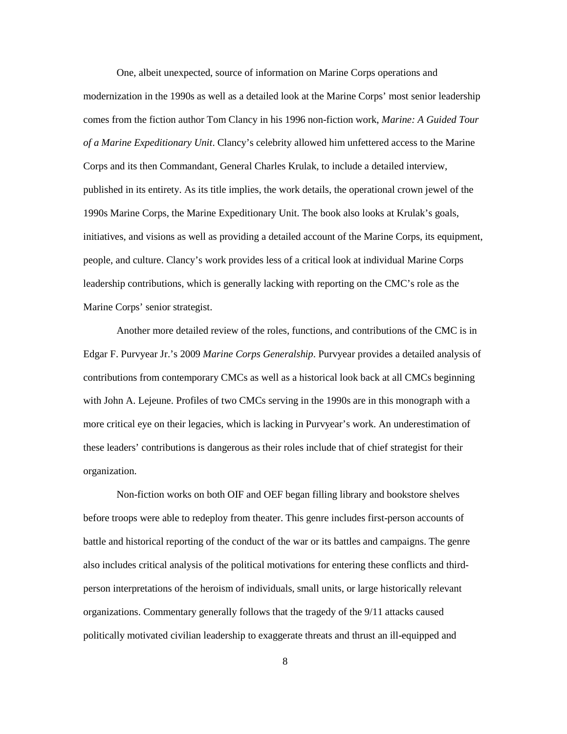One, albeit unexpected, source of information on Marine Corps operations and modernization in the 1990s as well as a detailed look at the Marine Corps' most senior leadership comes from the fiction author Tom Clancy in his 1996 non-fiction work, *Marine: A Guided Tour of a Marine Expeditionary Unit*. Clancy's celebrity allowed him unfettered access to the Marine Corps and its then Commandant, General Charles Krulak, to include a detailed interview, published in its entirety. As its title implies, the work details, the operational crown jewel of the 1990s Marine Corps, the Marine Expeditionary Unit. The book also looks at Krulak's goals, initiatives, and visions as well as providing a detailed account of the Marine Corps, its equipment, people, and culture. Clancy's work provides less of a critical look at individual Marine Corps leadership contributions, which is generally lacking with reporting on the CMC's role as the Marine Corps' senior strategist.

Another more detailed review of the roles, functions, and contributions of the CMC is in Edgar F. Purvyear Jr.'s 2009 *Marine Corps Generalship*. Purvyear provides a detailed analysis of contributions from contemporary CMCs as well as a historical look back at all CMCs beginning with John A. Lejeune. Profiles of two CMCs serving in the 1990s are in this monograph with a more critical eye on their legacies, which is lacking in Purvyear's work. An underestimation of these leaders' contributions is dangerous as their roles include that of chief strategist for their organization.

Non-fiction works on both OIF and OEF began filling library and bookstore shelves before troops were able to redeploy from theater. This genre includes first-person accounts of battle and historical reporting of the conduct of the war or its battles and campaigns. The genre also includes critical analysis of the political motivations for entering these conflicts and thirdperson interpretations of the heroism of individuals, small units, or large historically relevant organizations. Commentary generally follows that the tragedy of the 9/11 attacks caused politically motivated civilian leadership to exaggerate threats and thrust an ill-equipped and

8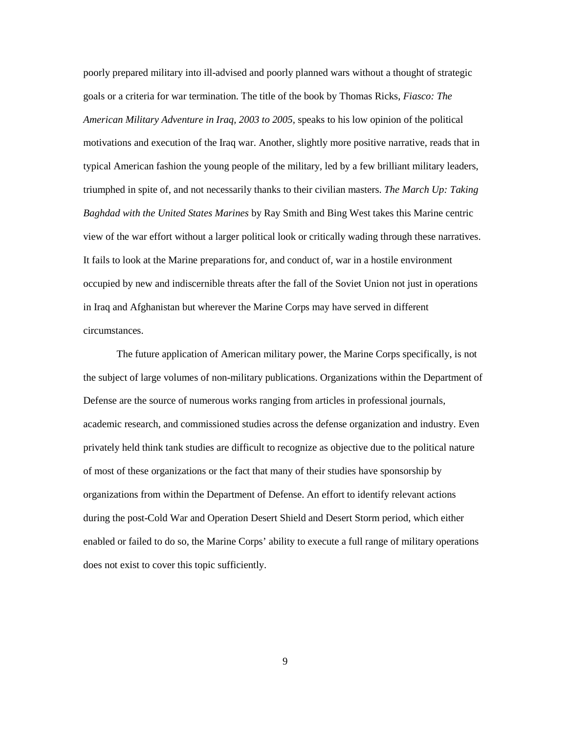poorly prepared military into ill-advised and poorly planned wars without a thought of strategic goals or a criteria for war termination. The title of the book by Thomas Ricks, *Fiasco: The American Military Adventure in Iraq, 2003 to 2005,* speaks to his low opinion of the political motivations and execution of the Iraq war. Another, slightly more positive narrative, reads that in typical American fashion the young people of the military, led by a few brilliant military leaders, triumphed in spite of, and not necessarily thanks to their civilian masters. *The March Up: Taking Baghdad with the United States Marines* by Ray Smith and Bing West takes this Marine centric view of the war effort without a larger political look or critically wading through these narratives. It fails to look at the Marine preparations for, and conduct of, war in a hostile environment occupied by new and indiscernible threats after the fall of the Soviet Union not just in operations in Iraq and Afghanistan but wherever the Marine Corps may have served in different circumstances.

<span id="page-15-0"></span>The future application of American military power, the Marine Corps specifically, is not the subject of large volumes of non-military publications. Organizations within the Department of Defense are the source of numerous works ranging from articles in professional journals, academic research, and commissioned studies across the defense organization and industry. Even privately held think tank studies are difficult to recognize as objective due to the political nature of most of these organizations or the fact that many of their studies have sponsorship by organizations from within the Department of Defense. An effort to identify relevant actions during the post-Cold War and Operation Desert Shield and Desert Storm period, which either enabled or failed to do so, the Marine Corps' ability to execute a full range of military operations does not exist to cover this topic sufficiently.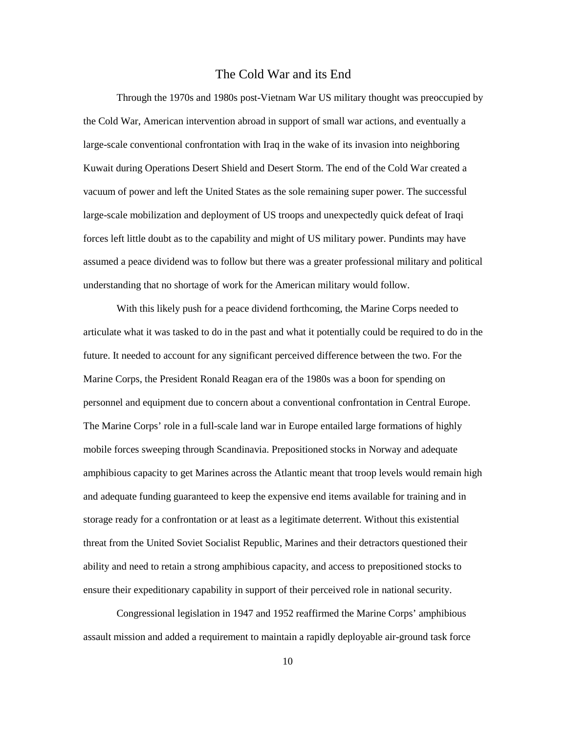#### The Cold War and its End

Through the 1970s and 1980s post-Vietnam War US military thought was preoccupied by the Cold War, American intervention abroad in support of small war actions, and eventually a large-scale conventional confrontation with Iraq in the wake of its invasion into neighboring Kuwait during Operations Desert Shield and Desert Storm. The end of the Cold War created a vacuum of power and left the United States as the sole remaining super power. The successful large-scale mobilization and deployment of US troops and unexpectedly quick defeat of Iraqi forces left little doubt as to the capability and might of US military power. Pundints may have assumed a peace dividend was to follow but there was a greater professional military and political understanding that no shortage of work for the American military would follow.

With this likely push for a peace dividend forthcoming, the Marine Corps needed to articulate what it was tasked to do in the past and what it potentially could be required to do in the future. It needed to account for any significant perceived difference between the two. For the Marine Corps, the President Ronald Reagan era of the 1980s was a boon for spending on personnel and equipment due to concern about a conventional confrontation in Central Europe. The Marine Corps' role in a full-scale land war in Europe entailed large formations of highly mobile forces sweeping through Scandinavia. Prepositioned stocks in Norway and adequate amphibious capacity to get Marines across the Atlantic meant that troop levels would remain high and adequate funding guaranteed to keep the expensive end items available for training and in storage ready for a confrontation or at least as a legitimate deterrent. Without this existential threat from the United Soviet Socialist Republic, Marines and their detractors questioned their ability and need to retain a strong amphibious capacity, and access to prepositioned stocks to ensure their expeditionary capability in support of their perceived role in national security.

Congressional legislation in 1947 and 1952 reaffirmed the Marine Corps' amphibious assault mission and added a requirement to maintain a rapidly deployable air-ground task force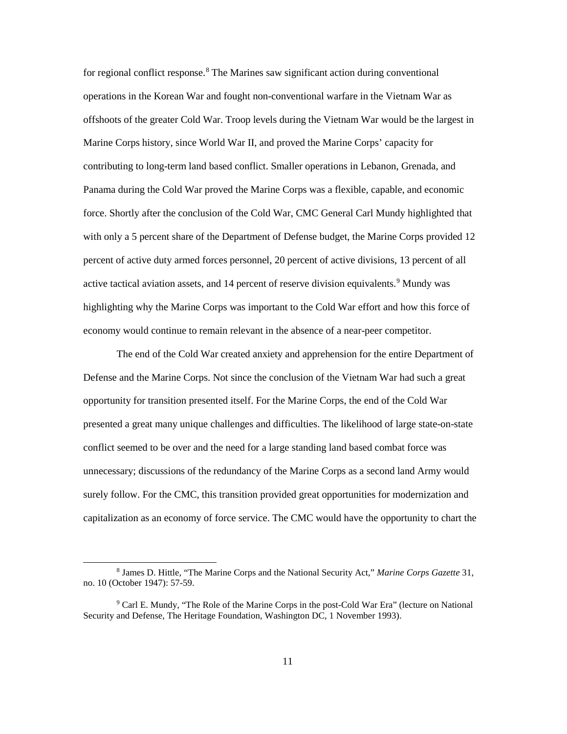for regional conflict response.<sup>8</sup> The Marines saw significant action during conventional operations in the Korean War and fought non-conventional warfare in the Vietnam War as offshoots of the greater Cold War. Troop levels during the Vietnam War would be the largest in Marine Corps history, since World War II, and proved the Marine Corps' capacity for contributing to long-term land based conflict. Smaller operations in Lebanon, Grenada, and Panama during the Cold War proved the Marine Corps was a flexible, capable, and economic force. Shortly after the conclusion of the Cold War, CMC General Carl Mundy highlighted that with only a 5 percent share of the Department of Defense budget, the Marine Corps provided 12 percent of active duty armed forces personnel, 20 percent of active divisions, 13 percent of all active tactical aviation assets, and 14 percent of reserve division equivalents.<sup>[9](#page-17-1)</sup> Mundy was highlighting why the Marine Corps was important to the Cold War effort and how this force of economy would continue to remain relevant in the absence of a near-peer competitor.

The end of the Cold War created anxiety and apprehension for the entire Department of Defense and the Marine Corps. Not since the conclusion of the Vietnam War had such a great opportunity for transition presented itself. For the Marine Corps, the end of the Cold War presented a great many unique challenges and difficulties. The likelihood of large state-on-state conflict seemed to be over and the need for a large standing land based combat force was unnecessary; discussions of the redundancy of the Marine Corps as a second land Army would surely follow. For the CMC, this transition provided great opportunities for modernization and capitalization as an economy of force service. The CMC would have the opportunity to chart the

<span id="page-17-0"></span> <sup>8</sup> James D. Hittle, "The Marine Corps and the National Security Act," *Marine Corps Gazette* 31, no. 10 (October 1947): 57-59.

<span id="page-17-1"></span><sup>9</sup> Carl E. Mundy, "The Role of the Marine Corps in the post-Cold War Era" (lecture on National Security and Defense, The Heritage Foundation, Washington DC, 1 November 1993).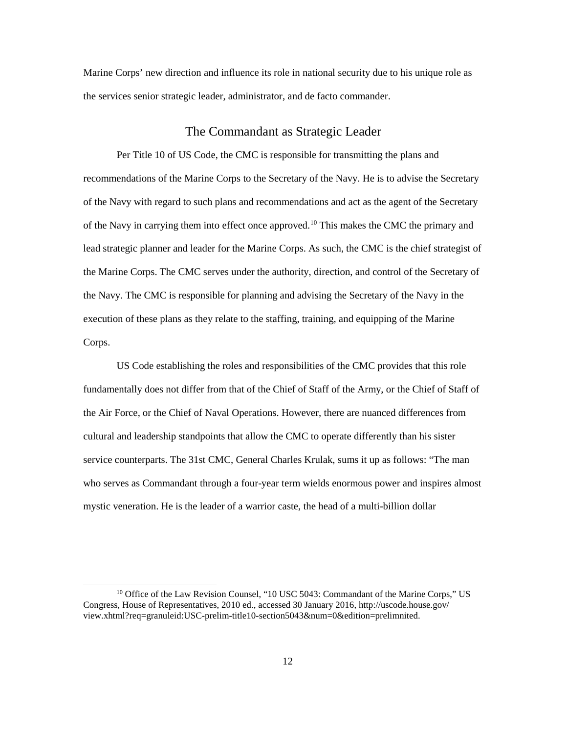Marine Corps' new direction and influence its role in national security due to his unique role as the services senior strategic leader, administrator, and de facto commander.

### The Commandant as Strategic Leader

<span id="page-18-0"></span>Per Title 10 of US Code, the CMC is responsible for transmitting the plans and recommendations of the Marine Corps to the Secretary of the Navy. He is to advise the Secretary of the Navy with regard to such plans and recommendations and act as the agent of the Secretary of the Navy in carrying them into effect once approved.<sup>[10](#page-18-1)</sup> This makes the CMC the primary and lead strategic planner and leader for the Marine Corps. As such, the CMC is the chief strategist of the Marine Corps. The CMC serves under the authority, direction, and control of the Secretary of the Navy. The CMC is responsible for planning and advising the Secretary of the Navy in the execution of these plans as they relate to the staffing, training, and equipping of the Marine Corps.

US Code establishing the roles and responsibilities of the CMC provides that this role fundamentally does not differ from that of the Chief of Staff of the Army, or the Chief of Staff of the Air Force, or the Chief of Naval Operations. However, there are nuanced differences from cultural and leadership standpoints that allow the CMC to operate differently than his sister service counterparts. The 31st CMC, General Charles Krulak, sums it up as follows: "The man who serves as Commandant through a four-year term wields enormous power and inspires almost mystic veneration. He is the leader of a warrior caste, the head of a multi-billion dollar

<span id="page-18-1"></span> $10$  Office of the Law Revision Counsel, "10 USC 5043: Commandant of the Marine Corps," US Congress, House of Representatives, 2010 ed., accessed 30 January 2016, http://uscode.house.gov/ view.xhtml?req=granuleid:USC-prelim-title10-section5043&num=0&edition=prelimnited.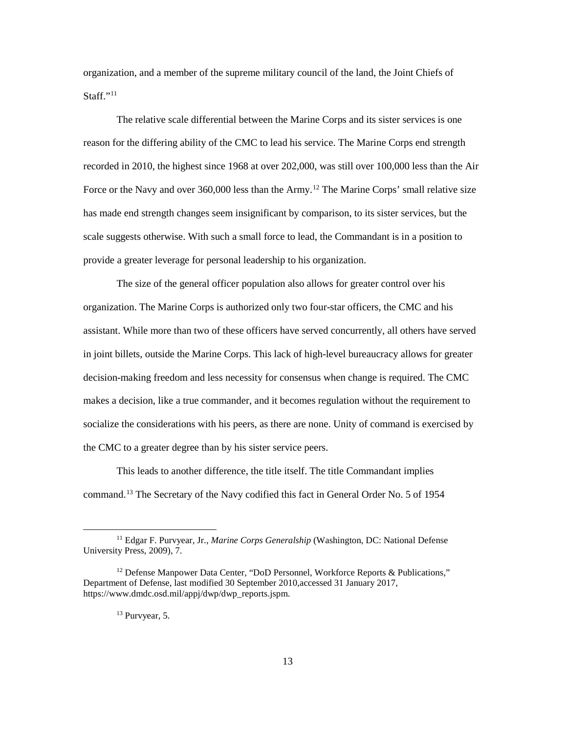organization, and a member of the supreme military council of the land, the Joint Chiefs of Staff."<sup>[11](#page-19-0)</sup>

The relative scale differential between the Marine Corps and its sister services is one reason for the differing ability of the CMC to lead his service. The Marine Corps end strength recorded in 2010, the highest since 1968 at over 202,000, was still over 100,000 less than the Air Force or the Navy and over 360,000 less than the Army.<sup>[12](#page-19-1)</sup> The Marine Corps' small relative size has made end strength changes seem insignificant by comparison, to its sister services, but the scale suggests otherwise. With such a small force to lead, the Commandant is in a position to provide a greater leverage for personal leadership to his organization.

The size of the general officer population also allows for greater control over his organization. The Marine Corps is authorized only two four-star officers, the CMC and his assistant. While more than two of these officers have served concurrently, all others have served in joint billets, outside the Marine Corps. This lack of high-level bureaucracy allows for greater decision-making freedom and less necessity for consensus when change is required. The CMC makes a decision, like a true commander, and it becomes regulation without the requirement to socialize the considerations with his peers, as there are none. Unity of command is exercised by the CMC to a greater degree than by his sister service peers.

This leads to another difference, the title itself. The title Commandant implies command.[13](#page-19-2) The Secretary of the Navy codified this fact in General Order No. 5 of 1954

<span id="page-19-0"></span><sup>&</sup>lt;sup>11</sup> Edgar F. Purvyear, Jr., *Marine Corps Generalship* (Washington, DC: National Defense University Press, 2009), 7.

<span id="page-19-2"></span><span id="page-19-1"></span><sup>&</sup>lt;sup>12</sup> Defense Manpower Data Center, "DoD Personnel, Workforce Reports & Publications," Department of Defense, last modified 30 September 2010,accessed 31 January 2017, https://www.dmdc.osd.mil/appj/dwp/dwp\_reports.jspm.

<sup>13</sup> Purvyear, 5.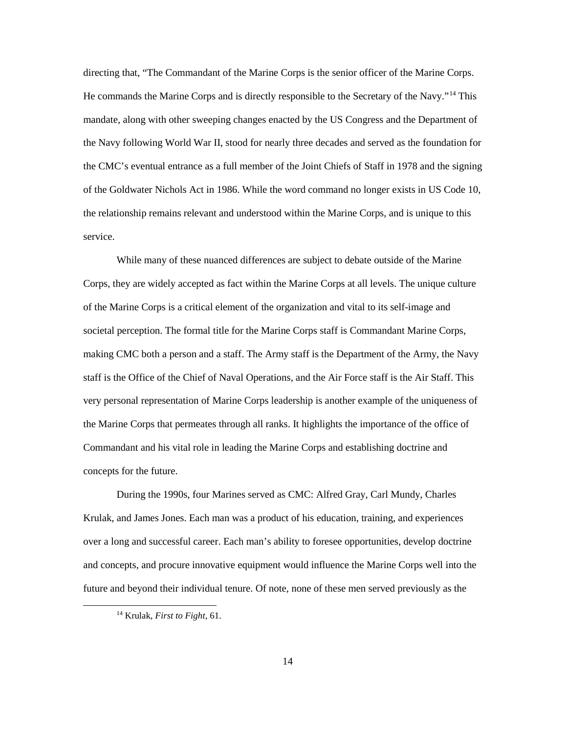directing that, "The Commandant of the Marine Corps is the senior officer of the Marine Corps. He commands the Marine Corps and is directly responsible to the Secretary of the Navy."[14](#page-20-0) This mandate, along with other sweeping changes enacted by the US Congress and the Department of the Navy following World War II, stood for nearly three decades and served as the foundation for the CMC's eventual entrance as a full member of the Joint Chiefs of Staff in 1978 and the signing of the Goldwater Nichols Act in 1986. While the word command no longer exists in US Code 10, the relationship remains relevant and understood within the Marine Corps, and is unique to this service.

While many of these nuanced differences are subject to debate outside of the Marine Corps, they are widely accepted as fact within the Marine Corps at all levels. The unique culture of the Marine Corps is a critical element of the organization and vital to its self-image and societal perception. The formal title for the Marine Corps staff is Commandant Marine Corps, making CMC both a person and a staff. The Army staff is the Department of the Army, the Navy staff is the Office of the Chief of Naval Operations, and the Air Force staff is the Air Staff. This very personal representation of Marine Corps leadership is another example of the uniqueness of the Marine Corps that permeates through all ranks. It highlights the importance of the office of Commandant and his vital role in leading the Marine Corps and establishing doctrine and concepts for the future.

During the 1990s, four Marines served as CMC: Alfred Gray, Carl Mundy, Charles Krulak, and James Jones. Each man was a product of his education, training, and experiences over a long and successful career. Each man's ability to foresee opportunities, develop doctrine and concepts, and procure innovative equipment would influence the Marine Corps well into the future and beyond their individual tenure. Of note, none of these men served previously as the

<span id="page-20-0"></span> <sup>14</sup> Krulak, *First to Fight*, 61.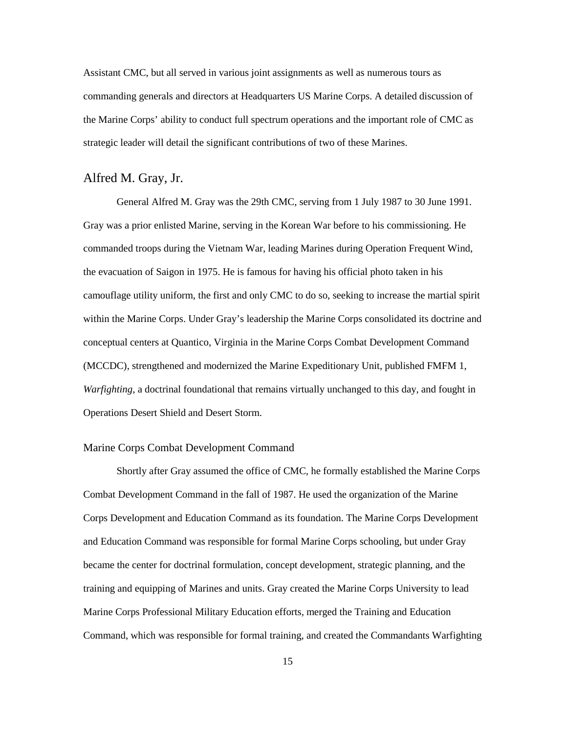Assistant CMC, but all served in various joint assignments as well as numerous tours as commanding generals and directors at Headquarters US Marine Corps. A detailed discussion of the Marine Corps' ability to conduct full spectrum operations and the important role of CMC as strategic leader will detail the significant contributions of two of these Marines.

## <span id="page-21-0"></span>Alfred M. Gray, Jr.

General Alfred M. Gray was the 29th CMC, serving from 1 July 1987 to 30 June 1991. Gray was a prior enlisted Marine, serving in the Korean War before to his commissioning. He commanded troops during the Vietnam War, leading Marines during Operation Frequent Wind, the evacuation of Saigon in 1975. He is famous for having his official photo taken in his camouflage utility uniform, the first and only CMC to do so, seeking to increase the martial spirit within the Marine Corps. Under Gray's leadership the Marine Corps consolidated its doctrine and conceptual centers at Quantico, Virginia in the Marine Corps Combat Development Command (MCCDC), strengthened and modernized the Marine Expeditionary Unit, published FMFM 1, *Warfighting*, a doctrinal foundational that remains virtually unchanged to this day, and fought in Operations Desert Shield and Desert Storm.

#### <span id="page-21-1"></span>Marine Corps Combat Development Command

Shortly after Gray assumed the office of CMC, he formally established the Marine Corps Combat Development Command in the fall of 1987. He used the organization of the Marine Corps Development and Education Command as its foundation. The Marine Corps Development and Education Command was responsible for formal Marine Corps schooling, but under Gray became the center for doctrinal formulation, concept development, strategic planning, and the training and equipping of Marines and units. Gray created the Marine Corps University to lead Marine Corps Professional Military Education efforts, merged the Training and Education Command, which was responsible for formal training, and created the Commandants Warfighting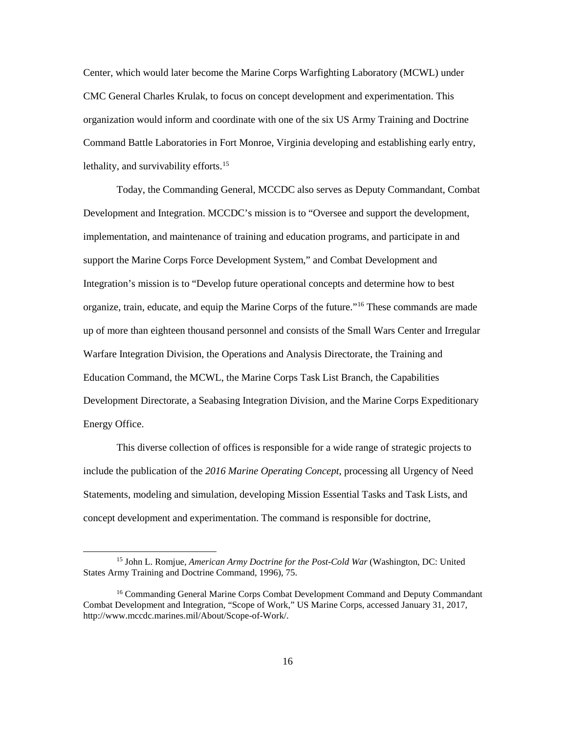Center, which would later become the Marine Corps Warfighting Laboratory (MCWL) under CMC General Charles Krulak, to focus on concept development and experimentation. This organization would inform and coordinate with one of the six US Army Training and Doctrine Command Battle Laboratories in Fort Monroe, Virginia developing and establishing early entry, lethality, and survivability efforts.<sup>15</sup>

Today, the Commanding General, MCCDC also serves as Deputy Commandant, Combat Development and Integration. MCCDC's mission is to "Oversee and support the development, implementation, and maintenance of training and education programs, and participate in and support the Marine Corps Force Development System," and Combat Development and Integration's mission is to "Develop future operational concepts and determine how to best organize, train, educate, and equip the Marine Corps of the future."[16](#page-22-1) These commands are made up of more than eighteen thousand personnel and consists of the Small Wars Center and Irregular Warfare Integration Division, the Operations and Analysis Directorate, the Training and Education Command, the MCWL, the Marine Corps Task List Branch, the Capabilities Development Directorate, a Seabasing Integration Division, and the Marine Corps Expeditionary Energy Office.

This diverse collection of offices is responsible for a wide range of strategic projects to include the publication of the *2016 Marine Operating Concept*, processing all Urgency of Need Statements, modeling and simulation, developing Mission Essential Tasks and Task Lists, and concept development and experimentation. The command is responsible for doctrine,

<span id="page-22-0"></span> <sup>15</sup> John L. Romjue, *American Army Doctrine for the Post-Cold War* (Washington, DC: United States Army Training and Doctrine Command, 1996), 75.

<span id="page-22-1"></span><sup>&</sup>lt;sup>16</sup> Commanding General Marine Corps Combat Development Command and Deputy Commandant Combat Development and Integration, "Scope of Work," US Marine Corps, accessed January 31, 2017, http://www.mccdc.marines.mil/About/Scope-of-Work/.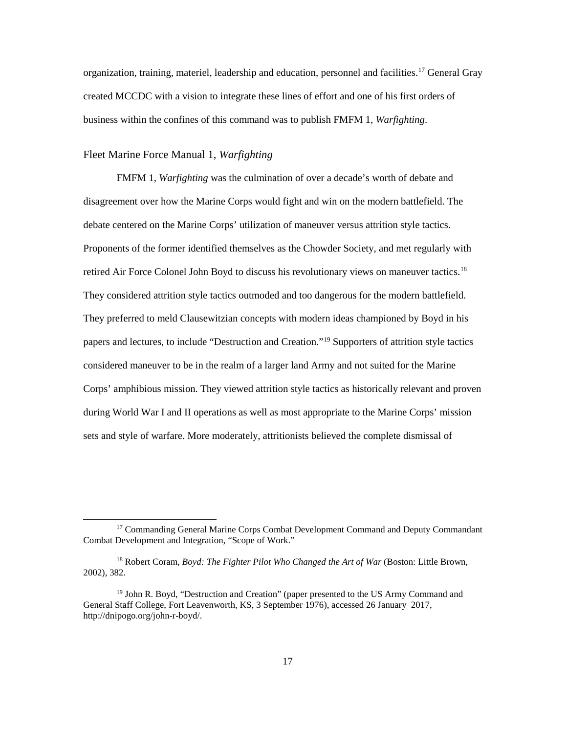organization, training, materiel, leadership and education, personnel and facilities.[17](#page-23-1) General Gray created MCCDC with a vision to integrate these lines of effort and one of his first orders of business within the confines of this command was to publish FMFM 1, *Warfighting*.

#### <span id="page-23-0"></span>Fleet Marine Force Manual 1, *Warfighting*

FMFM 1, *Warfighting* was the culmination of over a decade's worth of debate and disagreement over how the Marine Corps would fight and win on the modern battlefield. The debate centered on the Marine Corps' utilization of maneuver versus attrition style tactics. Proponents of the former identified themselves as the Chowder Society, and met regularly with retired Air Force Colonel John Boyd to discuss his revolutionary views on maneuver tactics.<sup>18</sup> They considered attrition style tactics outmoded and too dangerous for the modern battlefield. They preferred to meld Clausewitzian concepts with modern ideas championed by Boyd in his papers and lectures, to include "Destruction and Creation."[19](#page-23-3) Supporters of attrition style tactics considered maneuver to be in the realm of a larger land Army and not suited for the Marine Corps' amphibious mission. They viewed attrition style tactics as historically relevant and proven during World War I and II operations as well as most appropriate to the Marine Corps' mission sets and style of warfare. More moderately, attritionists believed the complete dismissal of

<span id="page-23-1"></span><sup>&</sup>lt;sup>17</sup> Commanding General Marine Corps Combat Development Command and Deputy Commandant Combat Development and Integration, "Scope of Work."

<span id="page-23-2"></span><sup>18</sup> Robert Coram, *Boyd: The Fighter Pilot Who Changed the Art of War* (Boston: Little Brown, 2002), 382.

<span id="page-23-3"></span><sup>&</sup>lt;sup>19</sup> John R. Boyd, "Destruction and Creation" (paper presented to the US Army Command and General Staff College, Fort Leavenworth, KS, 3 September 1976), accessed 26 January 2017, http://dnipogo.org/john-r-boyd/.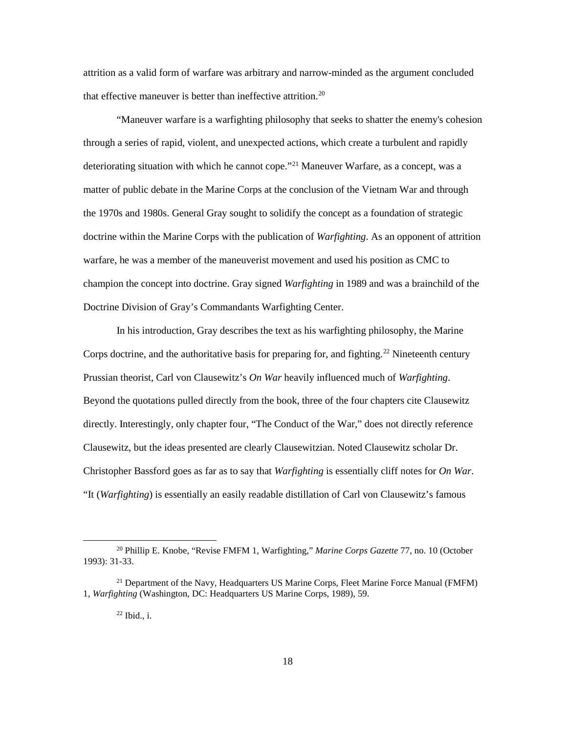attrition as a valid form of warfare was arbitrary and narrow-minded as the argument concluded that effective maneuver is better than ineffective attrition.<sup>[20](#page-24-0)</sup>

"Maneuver warfare is a warfighting philosophy that seeks to shatter the enemy's cohesion through a series of rapid, violent, and unexpected actions, which create a turbulent and rapidly deteriorating situation with which he cannot cope."<sup>[21](#page-24-1)</sup> Maneuver Warfare, as a concept, was a matter of public debate in the Marine Corps at the conclusion of the Vietnam War and through the 1970s and 1980s. General Gray sought to solidify the concept as a foundation of strategic doctrine within the Marine Corps with the publication of *Warfighting*. As an opponent of attrition warfare, he was a member of the maneuverist movement and used his position as CMC to champion the concept into doctrine. Gray signed *Warfighting* in 1989 and was a brainchild of the Doctrine Division of Gray's Commandants Warfighting Center.

In his introduction, Gray describes the text as his warfighting philosophy, the Marine Corps doctrine, and the authoritative basis for preparing for, and fighting.<sup>[22](#page-24-2)</sup> Nineteenth century Prussian theorist, Carl von Clausewitz's *On War* heavily influenced much of *Warfighting*. Beyond the quotations pulled directly from the book, three of the four chapters cite Clausewitz directly. Interestingly, only chapter four, "The Conduct of the War," does not directly reference Clausewitz, but the ideas presented are clearly Clausewitzian. Noted Clausewitz scholar Dr. Christopher Bassford goes as far as to say that *Warfighting* is essentially cliff notes for *On War*. "It (*Warfighting*) is essentially an easily readable distillation of Carl von Clausewitz's famous

<span id="page-24-0"></span> <sup>20</sup> Phillip E. Knobe, "Revise FMFM 1, Warfighting," *Marine Corps Gazette* 77, no. 10 (October 1993): 31-33.

<span id="page-24-2"></span><span id="page-24-1"></span> $^{21}$  Department of the Navy, Headquarters US Marine Corps, Fleet Marine Force Manual (FMFM) 1, *Warfighting* (Washington, DC: Headquarters US Marine Corps, 1989), 59.

 $22$  Ibid., i.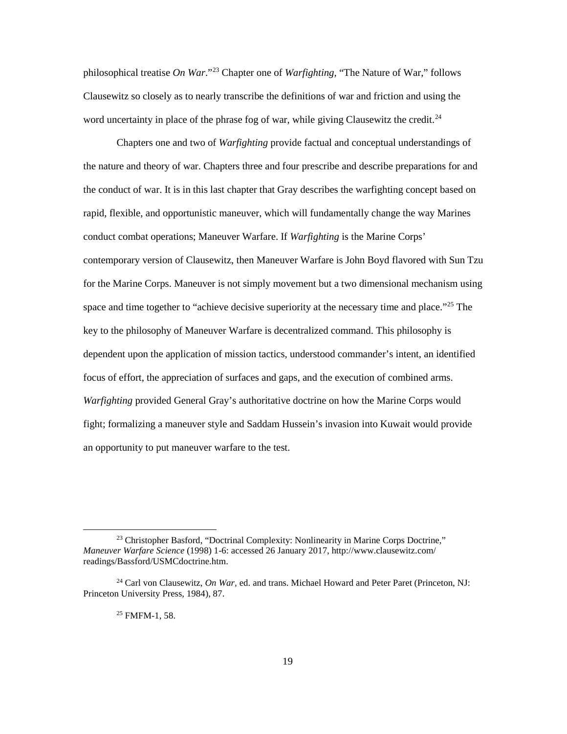philosophical treatise *On War*."[23](#page-25-0) Chapter one of *Warfighting*, "The Nature of War," follows Clausewitz so closely as to nearly transcribe the definitions of war and friction and using the word uncertainty in place of the phrase fog of war, while giving Clausewitz the credit.<sup>[24](#page-25-1)</sup>

Chapters one and two of *Warfighting* provide factual and conceptual understandings of the nature and theory of war. Chapters three and four prescribe and describe preparations for and the conduct of war. It is in this last chapter that Gray describes the warfighting concept based on rapid, flexible, and opportunistic maneuver, which will fundamentally change the way Marines conduct combat operations; Maneuver Warfare. If *Warfighting* is the Marine Corps' contemporary version of Clausewitz, then Maneuver Warfare is John Boyd flavored with Sun Tzu for the Marine Corps. Maneuver is not simply movement but a two dimensional mechanism using space and time together to "achieve decisive superiority at the necessary time and place."<sup>[25](#page-25-2)</sup> The key to the philosophy of Maneuver Warfare is decentralized command. This philosophy is dependent upon the application of mission tactics, understood commander's intent, an identified focus of effort, the appreciation of surfaces and gaps, and the execution of combined arms. *Warfighting* provided General Gray's authoritative doctrine on how the Marine Corps would fight; formalizing a maneuver style and Saddam Hussein's invasion into Kuwait would provide an opportunity to put maneuver warfare to the test.

<span id="page-25-0"></span><sup>&</sup>lt;sup>23</sup> Christopher Basford, "Doctrinal Complexity: Nonlinearity in Marine Corps Doctrine," *Maneuver Warfare Science* (1998) 1-6: accessed 26 January 2017, http://www.clausewitz.com/ readings/Bassford/USMCdoctrine.htm.

<span id="page-25-2"></span><span id="page-25-1"></span><sup>24</sup> Carl von Clausewitz, *On War,* ed. and trans. Michael Howard and Peter Paret (Princeton, NJ: Princeton University Press, 1984), 87.

<sup>25</sup> FMFM-1, 58.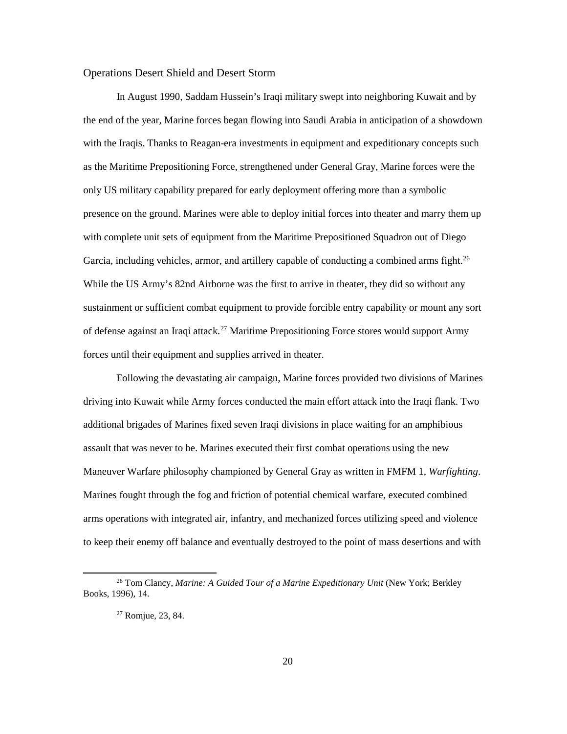#### <span id="page-26-0"></span>Operations Desert Shield and Desert Storm

In August 1990, Saddam Hussein's Iraqi military swept into neighboring Kuwait and by the end of the year, Marine forces began flowing into Saudi Arabia in anticipation of a showdown with the Iraqis. Thanks to Reagan-era investments in equipment and expeditionary concepts such as the Maritime Prepositioning Force, strengthened under General Gray, Marine forces were the only US military capability prepared for early deployment offering more than a symbolic presence on the ground. Marines were able to deploy initial forces into theater and marry them up with complete unit sets of equipment from the Maritime Prepositioned Squadron out of Diego Garcia, including vehicles, armor, and artillery capable of conducting a combined arms fight.<sup>26</sup> While the US Army's 82nd Airborne was the first to arrive in theater, they did so without any sustainment or sufficient combat equipment to provide forcible entry capability or mount any sort of defense against an Iraqi attack.<sup>[27](#page-26-2)</sup> Maritime Prepositioning Force stores would support Army forces until their equipment and supplies arrived in theater.

Following the devastating air campaign, Marine forces provided two divisions of Marines driving into Kuwait while Army forces conducted the main effort attack into the Iraqi flank. Two additional brigades of Marines fixed seven Iraqi divisions in place waiting for an amphibious assault that was never to be. Marines executed their first combat operations using the new Maneuver Warfare philosophy championed by General Gray as written in FMFM 1, *Warfighting*. Marines fought through the fog and friction of potential chemical warfare, executed combined arms operations with integrated air, infantry, and mechanized forces utilizing speed and violence to keep their enemy off balance and eventually destroyed to the point of mass desertions and with

<span id="page-26-2"></span><span id="page-26-1"></span> <sup>26</sup> Tom Clancy, *Marine: A Guided Tour of a Marine Expeditionary Unit* (New York; Berkley Books, 1996), 14.

<sup>27</sup> Romjue, 23, 84.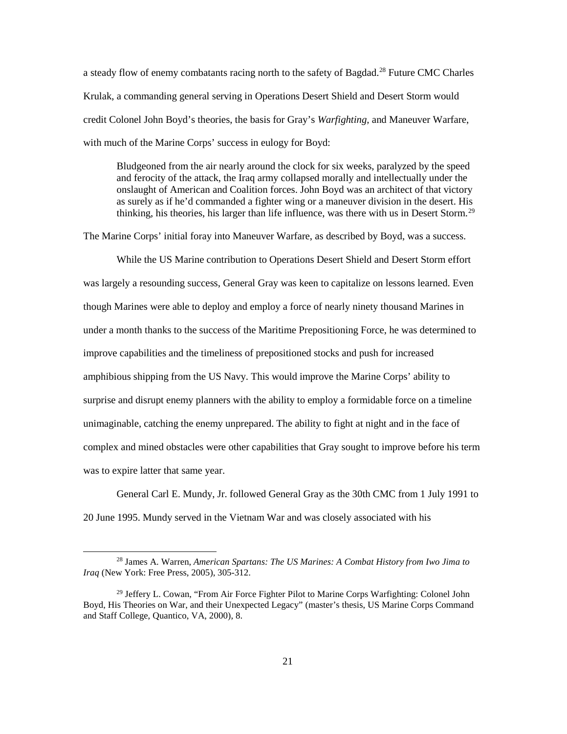a steady flow of enemy combatants racing north to the safety of Bagdad.<sup>[28](#page-27-0)</sup> Future CMC Charles Krulak, a commanding general serving in Operations Desert Shield and Desert Storm would credit Colonel John Boyd's theories, the basis for Gray's *Warfighting,* and Maneuver Warfare, with much of the Marine Corps' success in eulogy for Boyd:

Bludgeoned from the air nearly around the clock for six weeks, paralyzed by the speed and ferocity of the attack, the Iraq army collapsed morally and intellectually under the onslaught of American and Coalition forces. John Boyd was an architect of that victory as surely as if he'd commanded a fighter wing or a maneuver division in the desert. His thinking, his theories, his larger than life influence, was there with us in Desert Storm.[29](#page-27-1)

The Marine Corps' initial foray into Maneuver Warfare, as described by Boyd, was a success.

While the US Marine contribution to Operations Desert Shield and Desert Storm effort was largely a resounding success, General Gray was keen to capitalize on lessons learned. Even though Marines were able to deploy and employ a force of nearly ninety thousand Marines in under a month thanks to the success of the Maritime Prepositioning Force, he was determined to improve capabilities and the timeliness of prepositioned stocks and push for increased amphibious shipping from the US Navy. This would improve the Marine Corps' ability to surprise and disrupt enemy planners with the ability to employ a formidable force on a timeline unimaginable, catching the enemy unprepared. The ability to fight at night and in the face of complex and mined obstacles were other capabilities that Gray sought to improve before his term was to expire latter that same year.

General Carl E. Mundy, Jr. followed General Gray as the 30th CMC from 1 July 1991 to 20 June 1995. Mundy served in the Vietnam War and was closely associated with his

<span id="page-27-0"></span> <sup>28</sup> James A. Warren, *American Spartans: The US Marines: A Combat History from Iwo Jima to Iraq* (New York: Free Press, 2005), 305-312.

<span id="page-27-1"></span> $29$  Jeffery L. Cowan, "From Air Force Fighter Pilot to Marine Corps Warfighting: Colonel John Boyd, His Theories on War, and their Unexpected Legacy" (master's thesis, US Marine Corps Command and Staff College, Quantico, VA, 2000), 8.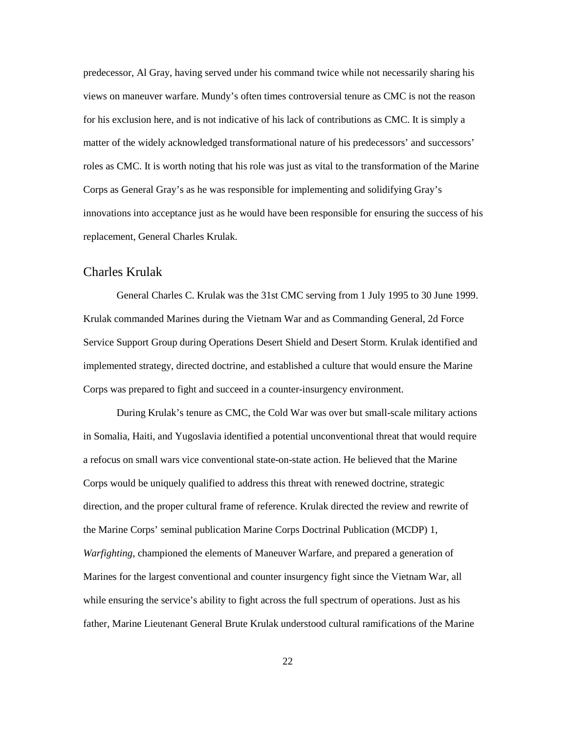predecessor, Al Gray, having served under his command twice while not necessarily sharing his views on maneuver warfare. Mundy's often times controversial tenure as CMC is not the reason for his exclusion here, and is not indicative of his lack of contributions as CMC. It is simply a matter of the widely acknowledged transformational nature of his predecessors' and successors' roles as CMC. It is worth noting that his role was just as vital to the transformation of the Marine Corps as General Gray's as he was responsible for implementing and solidifying Gray's innovations into acceptance just as he would have been responsible for ensuring the success of his replacement, General Charles Krulak.

## <span id="page-28-0"></span>Charles Krulak

General Charles C. Krulak was the 31st CMC serving from 1 July 1995 to 30 June 1999. Krulak commanded Marines during the Vietnam War and as Commanding General, 2d Force Service Support Group during Operations Desert Shield and Desert Storm. Krulak identified and implemented strategy, directed doctrine, and established a culture that would ensure the Marine Corps was prepared to fight and succeed in a counter-insurgency environment.

During Krulak's tenure as CMC, the Cold War was over but small-scale military actions in Somalia, Haiti, and Yugoslavia identified a potential unconventional threat that would require a refocus on small wars vice conventional state-on-state action. He believed that the Marine Corps would be uniquely qualified to address this threat with renewed doctrine, strategic direction, and the proper cultural frame of reference. Krulak directed the review and rewrite of the Marine Corps' seminal publication Marine Corps Doctrinal Publication (MCDP) 1, *Warfighting*, championed the elements of Maneuver Warfare, and prepared a generation of Marines for the largest conventional and counter insurgency fight since the Vietnam War, all while ensuring the service's ability to fight across the full spectrum of operations. Just as his father, Marine Lieutenant General Brute Krulak understood cultural ramifications of the Marine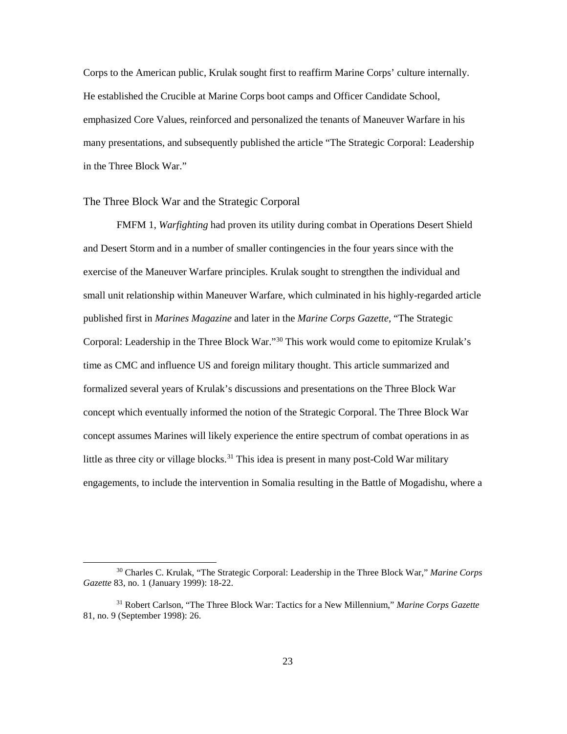Corps to the American public, Krulak sought first to reaffirm Marine Corps' culture internally. He established the Crucible at Marine Corps boot camps and Officer Candidate School, emphasized Core Values, reinforced and personalized the tenants of Maneuver Warfare in his many presentations, and subsequently published the article "The Strategic Corporal: Leadership in the Three Block War."

#### <span id="page-29-0"></span>The Three Block War and the Strategic Corporal

FMFM 1, *Warfighting* had proven its utility during combat in Operations Desert Shield and Desert Storm and in a number of smaller contingencies in the four years since with the exercise of the Maneuver Warfare principles. Krulak sought to strengthen the individual and small unit relationship within Maneuver Warfare, which culminated in his highly-regarded article published first in *Marines Magazine* and later in the *Marine Corps Gazette*, "The Strategic Corporal: Leadership in the Three Block War."[30](#page-29-1) This work would come to epitomize Krulak's time as CMC and influence US and foreign military thought. This article summarized and formalized several years of Krulak's discussions and presentations on the Three Block War concept which eventually informed the notion of the Strategic Corporal. The Three Block War concept assumes Marines will likely experience the entire spectrum of combat operations in as little as three city or village blocks. [31](#page-29-2) This idea is present in many post-Cold War military engagements, to include the intervention in Somalia resulting in the Battle of Mogadishu, where a

<span id="page-29-1"></span> <sup>30</sup> Charles C. Krulak, "The Strategic Corporal: Leadership in the Three Block War," *Marine Corps Gazette* 83, no. 1 (January 1999): 18-22.

<span id="page-29-2"></span><sup>31</sup> Robert Carlson, "The Three Block War: Tactics for a New Millennium," *Marine Corps Gazette* 81, no. 9 (September 1998): 26.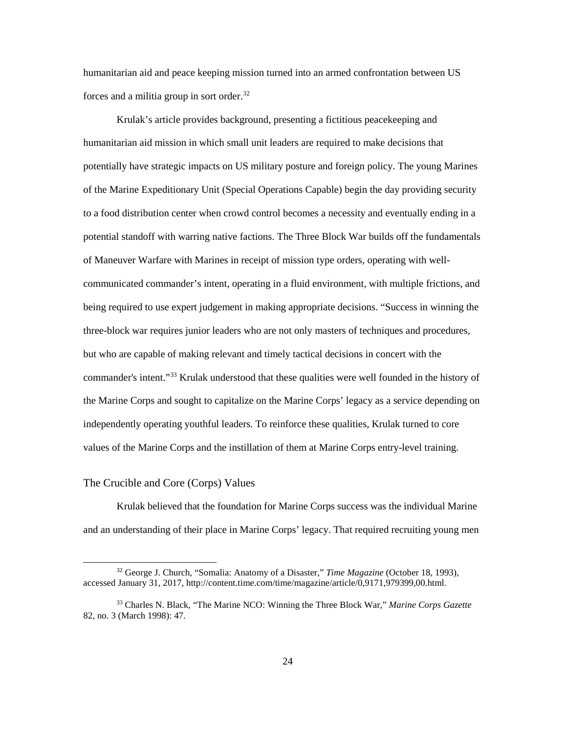humanitarian aid and peace keeping mission turned into an armed confrontation between US forces and a militia group in sort order.<sup>[32](#page-30-1)</sup>

Krulak's article provides background, presenting a fictitious peacekeeping and humanitarian aid mission in which small unit leaders are required to make decisions that potentially have strategic impacts on US military posture and foreign policy. The young Marines of the Marine Expeditionary Unit (Special Operations Capable) begin the day providing security to a food distribution center when crowd control becomes a necessity and eventually ending in a potential standoff with warring native factions. The Three Block War builds off the fundamentals of Maneuver Warfare with Marines in receipt of mission type orders, operating with wellcommunicated commander's intent, operating in a fluid environment, with multiple frictions, and being required to use expert judgement in making appropriate decisions. "Success in winning the three-block war requires junior leaders who are not only masters of techniques and procedures, but who are capable of making relevant and timely tactical decisions in concert with the commander's intent."[33](#page-30-2) Krulak understood that these qualities were well founded in the history of the Marine Corps and sought to capitalize on the Marine Corps' legacy as a service depending on independently operating youthful leaders. To reinforce these qualities, Krulak turned to core values of the Marine Corps and the instillation of them at Marine Corps entry-level training.

#### <span id="page-30-0"></span>The Crucible and Core (Corps) Values

Krulak believed that the foundation for Marine Corps success was the individual Marine and an understanding of their place in Marine Corps' legacy. That required recruiting young men

<span id="page-30-1"></span> <sup>32</sup> George J. Church, "Somalia: Anatomy of a Disaster," *Time Magazine* (October 18, 1993), accessed January 31, 2017, http://content.time.com/time/magazine/article/0,9171,979399,00.html.

<span id="page-30-2"></span><sup>33</sup> Charles N. Black, "The Marine NCO: Winning the Three Block War," *Marine Corps Gazette* 82, no. 3 (March 1998): 47.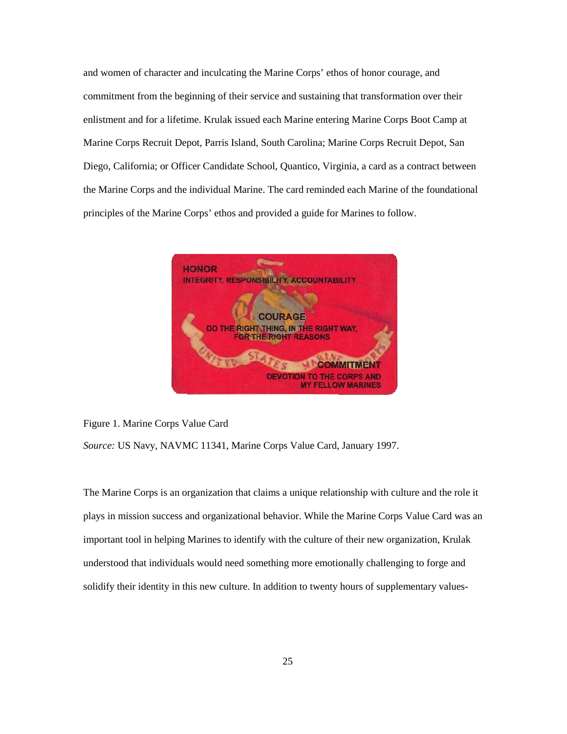and women of character and inculcating the Marine Corps' ethos of honor courage, and commitment from the beginning of their service and sustaining that transformation over their enlistment and for a lifetime. Krulak issued each Marine entering Marine Corps Boot Camp at Marine Corps Recruit Depot, Parris Island, South Carolina; Marine Corps Recruit Depot, San Diego, California; or Officer Candidate School, Quantico, Virginia, a card as a contract between the Marine Corps and the individual Marine. The card reminded each Marine of the foundational principles of the Marine Corps' ethos and provided a guide for Marines to follow.



Figure 1. Marine Corps Value Card

*Source:* US Navy, NAVMC 11341, Marine Corps Value Card, January 1997.

The Marine Corps is an organization that claims a unique relationship with culture and the role it plays in mission success and organizational behavior. While the Marine Corps Value Card was an important tool in helping Marines to identify with the culture of their new organization, Krulak understood that individuals would need something more emotionally challenging to forge and solidify their identity in this new culture. In addition to twenty hours of supplementary values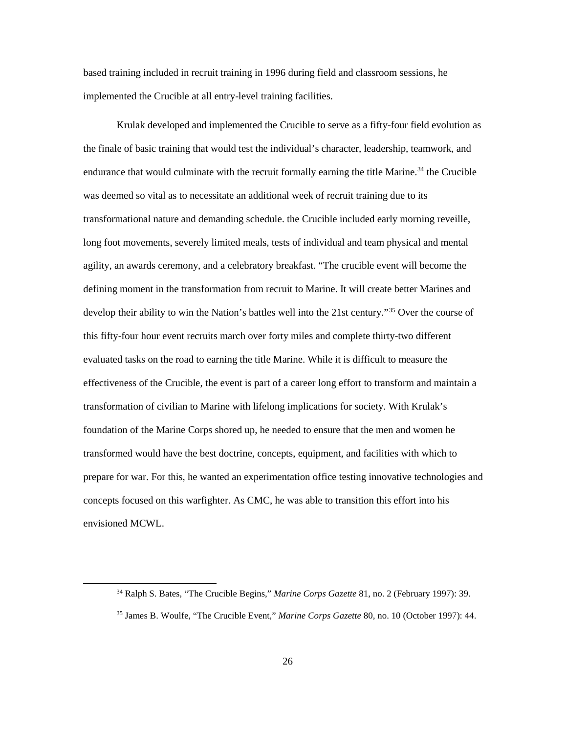based training included in recruit training in 1996 during field and classroom sessions, he implemented the Crucible at all entry-level training facilities.

Krulak developed and implemented the Crucible to serve as a fifty-four field evolution as the finale of basic training that would test the individual's character, leadership, teamwork, and endurance that would culminate with the recruit formally earning the title Marine.<sup>[34](#page-32-0)</sup> the Crucible was deemed so vital as to necessitate an additional week of recruit training due to its transformational nature and demanding schedule. the Crucible included early morning reveille, long foot movements, severely limited meals, tests of individual and team physical and mental agility, an awards ceremony, and a celebratory breakfast. "The crucible event will become the defining moment in the transformation from recruit to Marine. It will create better Marines and develop their ability to win the Nation's battles well into the 21st century."<sup>[35](#page-32-1)</sup> Over the course of this fifty-four hour event recruits march over forty miles and complete thirty-two different evaluated tasks on the road to earning the title Marine. While it is difficult to measure the effectiveness of the Crucible, the event is part of a career long effort to transform and maintain a transformation of civilian to Marine with lifelong implications for society. With Krulak's foundation of the Marine Corps shored up, he needed to ensure that the men and women he transformed would have the best doctrine, concepts, equipment, and facilities with which to prepare for war. For this, he wanted an experimentation office testing innovative technologies and concepts focused on this warfighter. As CMC, he was able to transition this effort into his envisioned MCWL.

<span id="page-32-0"></span> <sup>34</sup> Ralph S. Bates, "The Crucible Begins," *Marine Corps Gazette* 81, no. 2 (February 1997): 39.

<span id="page-32-1"></span><sup>35</sup> James B. Woulfe, "The Crucible Event," *Marine Corps Gazette* 80, no. 10 (October 1997): 44.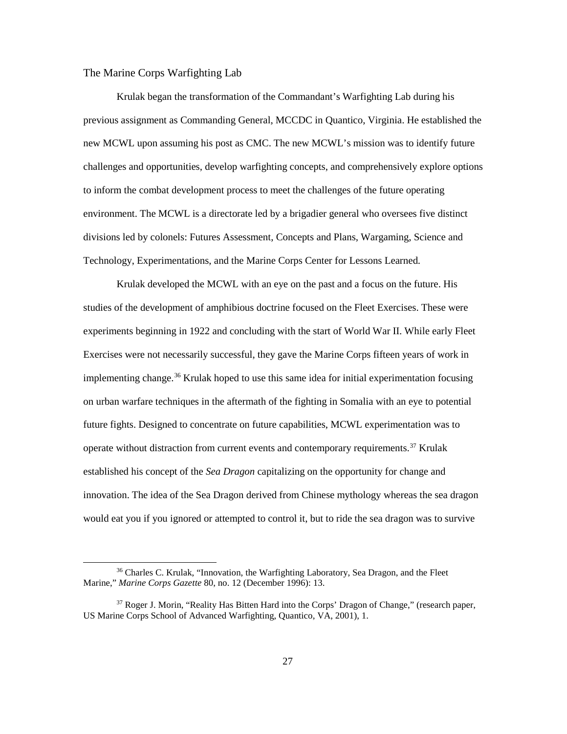#### <span id="page-33-0"></span>The Marine Corps Warfighting Lab

Krulak began the transformation of the Commandant's Warfighting Lab during his previous assignment as Commanding General, MCCDC in Quantico, Virginia. He established the new MCWL upon assuming his post as CMC. The new MCWL's mission was to identify future challenges and opportunities, develop warfighting concepts, and comprehensively explore options to inform the combat development process to meet the challenges of the future operating environment. The MCWL is a directorate led by a brigadier general who oversees five distinct divisions led by colonels: Futures Assessment, Concepts and Plans, Wargaming, Science and Technology, Experimentations, and the Marine Corps Center for Lessons Learned.

Krulak developed the MCWL with an eye on the past and a focus on the future. His studies of the development of amphibious doctrine focused on the Fleet Exercises. These were experiments beginning in 1922 and concluding with the start of World War II. While early Fleet Exercises were not necessarily successful, they gave the Marine Corps fifteen years of work in implementing change.<sup>[36](#page-33-1)</sup> Krulak hoped to use this same idea for initial experimentation focusing on urban warfare techniques in the aftermath of the fighting in Somalia with an eye to potential future fights. Designed to concentrate on future capabilities, MCWL experimentation was to operate without distraction from current events and contemporary requirements.<sup>[37](#page-33-2)</sup> Krulak established his concept of the *Sea Dragon* capitalizing on the opportunity for change and innovation. The idea of the Sea Dragon derived from Chinese mythology whereas the sea dragon would eat you if you ignored or attempted to control it, but to ride the sea dragon was to survive

<span id="page-33-1"></span> <sup>36</sup> Charles C. Krulak, "Innovation, the Warfighting Laboratory, Sea Dragon, and the Fleet Marine," *Marine Corps Gazette* 80, no. 12 (December 1996): 13.

<span id="page-33-2"></span><sup>&</sup>lt;sup>37</sup> Roger J. Morin, "Reality Has Bitten Hard into the Corps' Dragon of Change," (research paper, US Marine Corps School of Advanced Warfighting, Quantico, VA, 2001), 1.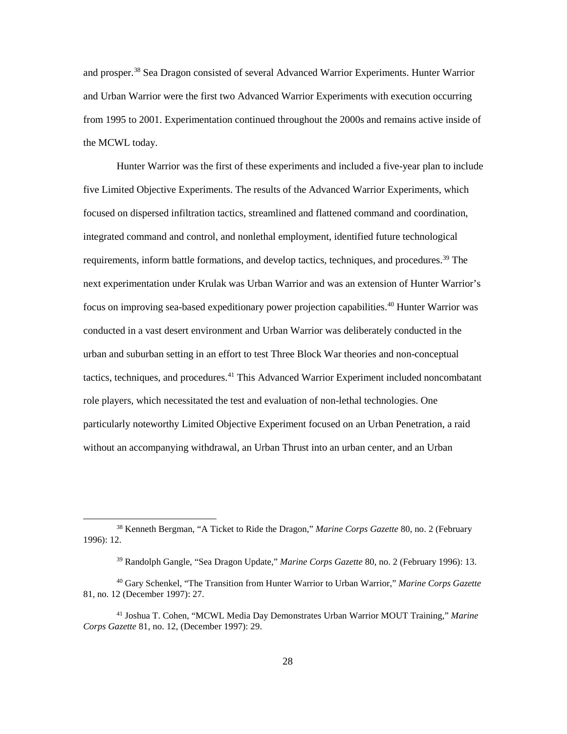and prosper.<sup>[38](#page-34-0)</sup> Sea Dragon consisted of several Advanced Warrior Experiments. Hunter Warrior and Urban Warrior were the first two Advanced Warrior Experiments with execution occurring from 1995 to 2001. Experimentation continued throughout the 2000s and remains active inside of the MCWL today.

Hunter Warrior was the first of these experiments and included a five-year plan to include five Limited Objective Experiments. The results of the Advanced Warrior Experiments, which focused on dispersed infiltration tactics, streamlined and flattened command and coordination, integrated command and control, and nonlethal employment, identified future technological requirements, inform battle formations, and develop tactics, techniques, and procedures.<sup>39</sup> The next experimentation under Krulak was Urban Warrior and was an extension of Hunter Warrior's focus on improving sea-based expeditionary power projection capabilities.<sup>[40](#page-34-2)</sup> Hunter Warrior was conducted in a vast desert environment and Urban Warrior was deliberately conducted in the urban and suburban setting in an effort to test Three Block War theories and non-conceptual tactics, techniques, and procedures.<sup>[41](#page-34-3)</sup> This Advanced Warrior Experiment included noncombatant role players, which necessitated the test and evaluation of non-lethal technologies. One particularly noteworthy Limited Objective Experiment focused on an Urban Penetration, a raid without an accompanying withdrawal, an Urban Thrust into an urban center, and an Urban

<span id="page-34-0"></span> <sup>38</sup> Kenneth Bergman, "A Ticket to Ride the Dragon," *Marine Corps Gazette* 80, no. 2 (February 1996): 12.

<sup>39</sup> Randolph Gangle, "Sea Dragon Update," *Marine Corps Gazette* 80, no. 2 (February 1996): 13.

<span id="page-34-2"></span><span id="page-34-1"></span><sup>40</sup> Gary Schenkel, "The Transition from Hunter Warrior to Urban Warrior," *Marine Corps Gazette* 81, no. 12 (December 1997): 27.

<span id="page-34-3"></span><sup>41</sup> Joshua T. Cohen, "MCWL Media Day Demonstrates Urban Warrior MOUT Training," *Marine Corps Gazette* 81, no. 12, (December 1997): 29.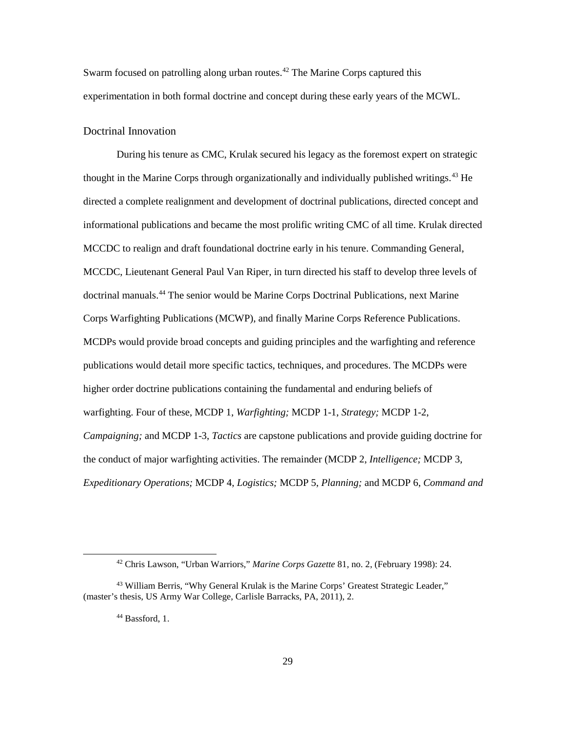Swarm focused on patrolling along urban routes.<sup>[42](#page-35-1)</sup> The Marine Corps captured this experimentation in both formal doctrine and concept during these early years of the MCWL.

#### <span id="page-35-0"></span>Doctrinal Innovation

During his tenure as CMC, Krulak secured his legacy as the foremost expert on strategic thought in the Marine Corps through organizationally and individually published writings.<sup>[43](#page-35-2)</sup> He directed a complete realignment and development of doctrinal publications, directed concept and informational publications and became the most prolific writing CMC of all time. Krulak directed MCCDC to realign and draft foundational doctrine early in his tenure. Commanding General, MCCDC, Lieutenant General Paul Van Riper, in turn directed his staff to develop three levels of doctrinal manuals.<sup>[44](#page-35-3)</sup> The senior would be Marine Corps Doctrinal Publications, next Marine Corps Warfighting Publications (MCWP), and finally Marine Corps Reference Publications. MCDPs would provide broad concepts and guiding principles and the warfighting and reference publications would detail more specific tactics, techniques, and procedures. The MCDPs were higher order doctrine publications containing the fundamental and enduring beliefs of warfighting. Four of these, MCDP 1, *Warfighting;* MCDP 1-1, *Strategy;* MCDP 1-2, *Campaigning;* and MCDP 1-3, *Tactics* are capstone publications and provide guiding doctrine for the conduct of major warfighting activities. The remainder (MCDP 2, *Intelligence;* MCDP 3, *Expeditionary Operations;* MCDP 4, *Logistics;* MCDP 5, *Planning;* and MCDP 6, *Command and* 

 <sup>42</sup> Chris Lawson, "Urban Warriors," *Marine Corps Gazette* 81, no. 2, (February 1998): 24.

<span id="page-35-3"></span><span id="page-35-2"></span><span id="page-35-1"></span><sup>43</sup> William Berris, "Why General Krulak is the Marine Corps' Greatest Strategic Leader," (master's thesis, US Army War College, Carlisle Barracks, PA, 2011), 2.

<sup>44</sup> Bassford, 1.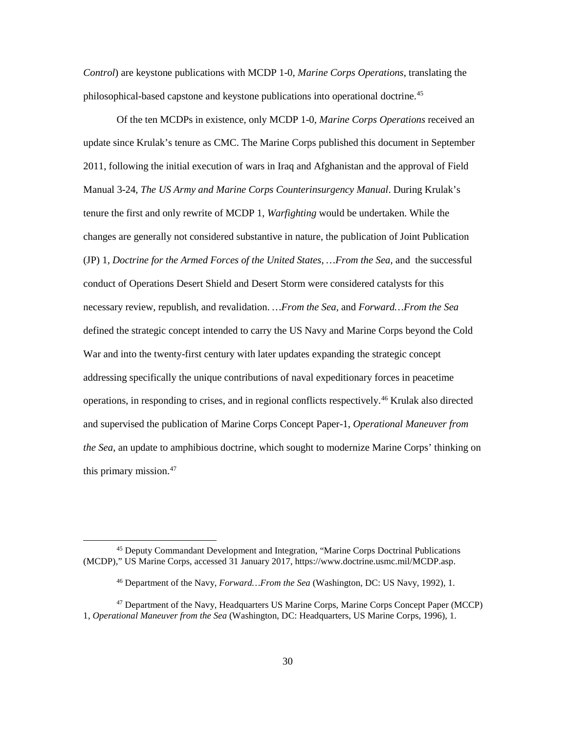*Control*) are keystone publications with MCDP 1-0, *Marine Corps Operations*, translating the philosophical-based capstone and keystone publications into operational doctrine.[45](#page-36-0)

Of the ten MCDPs in existence, only MCDP 1-0, *Marine Corps Operations* received an update since Krulak's tenure as CMC. The Marine Corps published this document in September 2011, following the initial execution of wars in Iraq and Afghanistan and the approval of Field Manual 3-24, *The US Army and Marine Corps Counterinsurgency Manual*. During Krulak's tenure the first and only rewrite of MCDP 1, *Warfighting* would be undertaken. While the changes are generally not considered substantive in nature, the publication of Joint Publication (JP) 1*, Doctrine for the Armed Forces of the United States*, *…From the Sea,* and the successful conduct of Operations Desert Shield and Desert Storm were considered catalysts for this necessary review, republish, and revalidation. *…From the Sea,* and *Forward…From the Sea* defined the strategic concept intended to carry the US Navy and Marine Corps beyond the Cold War and into the twenty-first century with later updates expanding the strategic concept addressing specifically the unique contributions of naval expeditionary forces in peacetime operations, in responding to crises, and in regional conflicts respectively. [46](#page-36-1) Krulak also directed and supervised the publication of Marine Corps Concept Paper-1, *Operational Maneuver from the Sea*, an update to amphibious doctrine, which sought to modernize Marine Corps' thinking on this primary mission. $47$ 

<span id="page-36-0"></span> <sup>45</sup> Deputy Commandant Development and Integration, "Marine Corps Doctrinal Publications (MCDP)," US Marine Corps, accessed 31 January 2017, https://www.doctrine.usmc.mil/MCDP.asp.

<sup>46</sup> Department of the Navy, *Forward…From the Sea* (Washington, DC: US Navy, 1992), 1.

<span id="page-36-2"></span><span id="page-36-1"></span><sup>47</sup> Department of the Navy, Headquarters US Marine Corps, Marine Corps Concept Paper (MCCP) 1, *Operational Maneuver from the Sea* (Washington, DC: Headquarters, US Marine Corps, 1996), 1.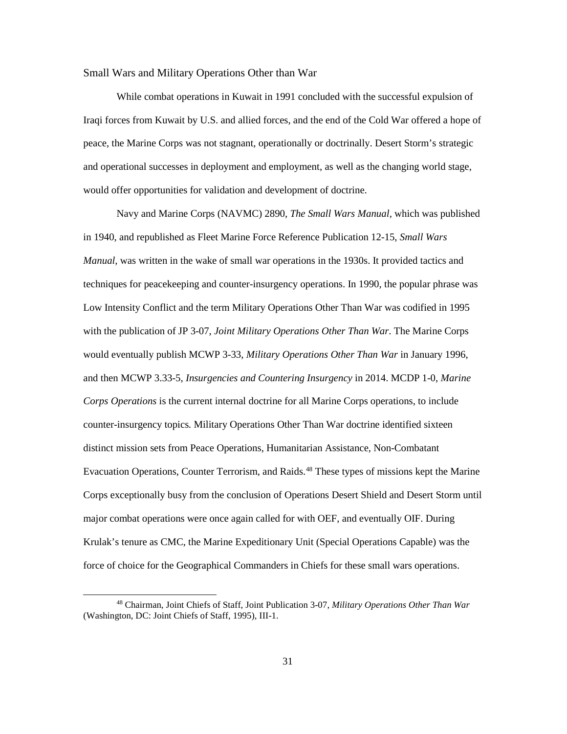#### <span id="page-37-0"></span>Small Wars and Military Operations Other than War

While combat operations in Kuwait in 1991 concluded with the successful expulsion of Iraqi forces from Kuwait by U.S. and allied forces, and the end of the Cold War offered a hope of peace, the Marine Corps was not stagnant, operationally or doctrinally. Desert Storm's strategic and operational successes in deployment and employment, as well as the changing world stage, would offer opportunities for validation and development of doctrine.

Navy and Marine Corps (NAVMC) 2890, *The Small Wars Manual,* which was published in 1940, and republished as Fleet Marine Force Reference Publication 12-15, *Small Wars Manual,* was written in the wake of small war operations in the 1930s. It provided tactics and techniques for peacekeeping and counter-insurgency operations. In 1990, the popular phrase was Low Intensity Conflict and the term Military Operations Other Than War was codified in 1995 with the publication of JP 3-07, *Joint Military Operations Other Than War*. The Marine Corps would eventually publish MCWP 3-33, *Military Operations Other Than War* in January 1996, and then MCWP 3.33-5, *Insurgencies and Countering Insurgency* in 2014. MCDP 1-0, *Marine Corps Operations* is the current internal doctrine for all Marine Corps operations, to include counter-insurgency topics*.* Military Operations Other Than War doctrine identified sixteen distinct mission sets from Peace Operations, Humanitarian Assistance, Non-Combatant Evacuation Operations, Counter Terrorism, and Raids.<sup>[48](#page-37-1)</sup> These types of missions kept the Marine Corps exceptionally busy from the conclusion of Operations Desert Shield and Desert Storm until major combat operations were once again called for with OEF, and eventually OIF. During Krulak's tenure as CMC, the Marine Expeditionary Unit (Special Operations Capable) was the force of choice for the Geographical Commanders in Chiefs for these small wars operations.

<span id="page-37-1"></span> <sup>48</sup> Chairman, Joint Chiefs of Staff, Joint Publication 3-07, *Military Operations Other Than War* (Washington, DC: Joint Chiefs of Staff, 1995), III-1.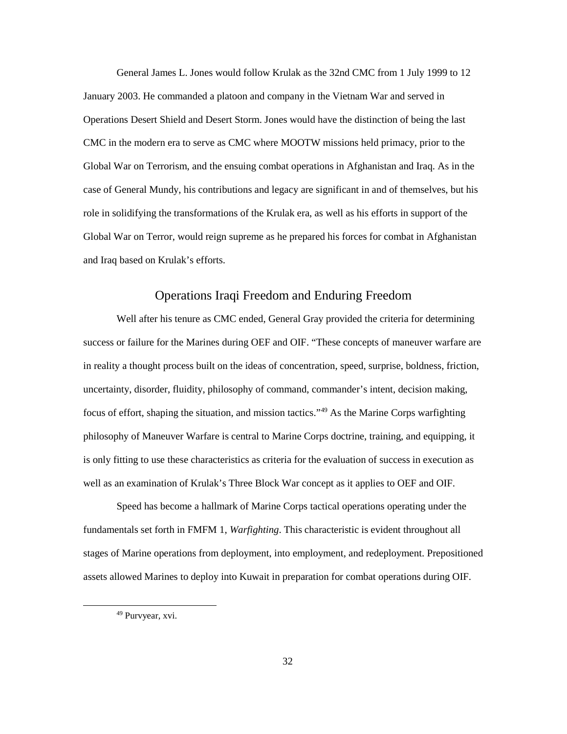General James L. Jones would follow Krulak as the 32nd CMC from 1 July 1999 to 12 January 2003. He commanded a platoon and company in the Vietnam War and served in Operations Desert Shield and Desert Storm. Jones would have the distinction of being the last CMC in the modern era to serve as CMC where MOOTW missions held primacy, prior to the Global War on Terrorism, and the ensuing combat operations in Afghanistan and Iraq. As in the case of General Mundy, his contributions and legacy are significant in and of themselves, but his role in solidifying the transformations of the Krulak era, as well as his efforts in support of the Global War on Terror, would reign supreme as he prepared his forces for combat in Afghanistan and Iraq based on Krulak's efforts.

## Operations Iraqi Freedom and Enduring Freedom

<span id="page-38-0"></span>Well after his tenure as CMC ended, General Gray provided the criteria for determining success or failure for the Marines during OEF and OIF. "These concepts of maneuver warfare are in reality a thought process built on the ideas of concentration, speed, surprise, boldness, friction, uncertainty, disorder, fluidity, philosophy of command, commander's intent, decision making, focus of effort, shaping the situation, and mission tactics."[49](#page-38-1) As the Marine Corps warfighting philosophy of Maneuver Warfare is central to Marine Corps doctrine, training, and equipping, it is only fitting to use these characteristics as criteria for the evaluation of success in execution as well as an examination of Krulak's Three Block War concept as it applies to OEF and OIF.

Speed has become a hallmark of Marine Corps tactical operations operating under the fundamentals set forth in FMFM 1, *Warfighting*. This characteristic is evident throughout all stages of Marine operations from deployment, into employment, and redeployment. Prepositioned assets allowed Marines to deploy into Kuwait in preparation for combat operations during OIF.

<span id="page-38-1"></span> <sup>49</sup> Purvyear, xvi.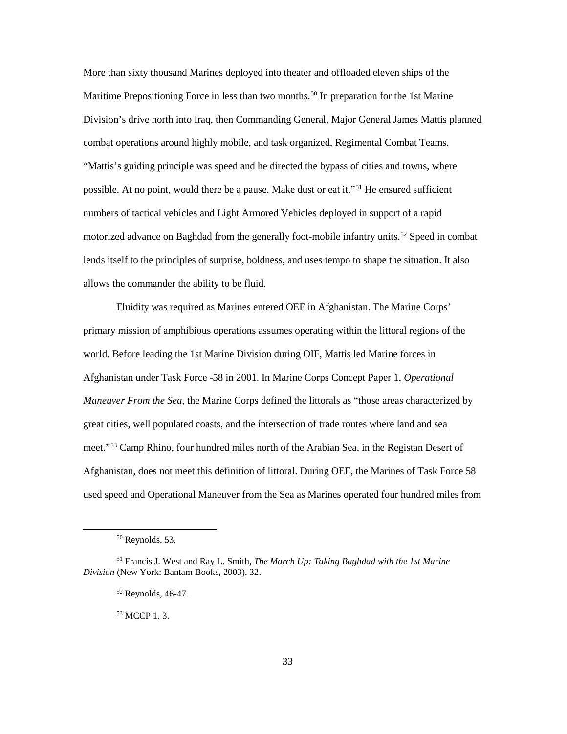More than sixty thousand Marines deployed into theater and offloaded eleven ships of the Maritime Prepositioning Force in less than two months.<sup>[50](#page-39-0)</sup> In preparation for the 1st Marine Division's drive north into Iraq, then Commanding General, Major General James Mattis planned combat operations around highly mobile, and task organized, Regimental Combat Teams. "Mattis's guiding principle was speed and he directed the bypass of cities and towns, where possible. At no point, would there be a pause. Make dust or eat it."[51](#page-39-1) He ensured sufficient numbers of tactical vehicles and Light Armored Vehicles deployed in support of a rapid motorized advance on Baghdad from the generally foot-mobile infantry units.<sup>[52](#page-39-2)</sup> Speed in combat lends itself to the principles of surprise, boldness, and uses tempo to shape the situation. It also allows the commander the ability to be fluid.

Fluidity was required as Marines entered OEF in Afghanistan. The Marine Corps' primary mission of amphibious operations assumes operating within the littoral regions of the world. Before leading the 1st Marine Division during OIF, Mattis led Marine forces in Afghanistan under Task Force -58 in 2001. In Marine Corps Concept Paper 1, *Operational Maneuver From the Sea*, the Marine Corps defined the littorals as "those areas characterized by great cities, well populated coasts, and the intersection of trade routes where land and sea meet."<sup>[53](#page-39-3)</sup> Camp Rhino, four hundred miles north of the Arabian Sea, in the Registan Desert of Afghanistan, does not meet this definition of littoral. During OEF, the Marines of Task Force 58 used speed and Operational Maneuver from the Sea as Marines operated four hundred miles from

 $50$  Reynolds, 53.

<span id="page-39-3"></span><span id="page-39-2"></span><span id="page-39-1"></span><span id="page-39-0"></span><sup>51</sup> Francis J. West and Ray L. Smith, *The March Up: Taking Baghdad with the 1st Marine Division* (New York: Bantam Books, 2003), 32.

<sup>52</sup> Reynolds, 46-47.

<sup>53</sup> MCCP 1, 3.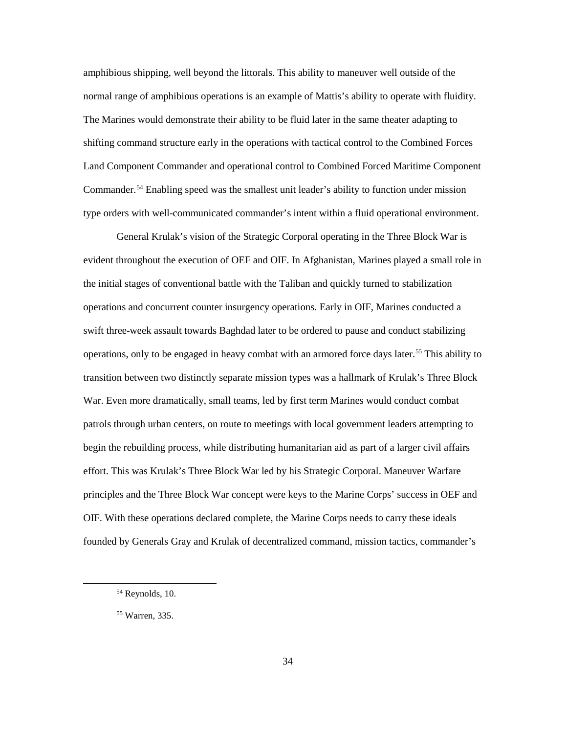amphibious shipping, well beyond the littorals. This ability to maneuver well outside of the normal range of amphibious operations is an example of Mattis's ability to operate with fluidity. The Marines would demonstrate their ability to be fluid later in the same theater adapting to shifting command structure early in the operations with tactical control to the Combined Forces Land Component Commander and operational control to Combined Forced Maritime Component Commander.<sup>[54](#page-40-0)</sup> Enabling speed was the smallest unit leader's ability to function under mission type orders with well-communicated commander's intent within a fluid operational environment.

General Krulak's vision of the Strategic Corporal operating in the Three Block War is evident throughout the execution of OEF and OIF. In Afghanistan, Marines played a small role in the initial stages of conventional battle with the Taliban and quickly turned to stabilization operations and concurrent counter insurgency operations. Early in OIF, Marines conducted a swift three-week assault towards Baghdad later to be ordered to pause and conduct stabilizing operations, only to be engaged in heavy combat with an armored force days later.[55](#page-40-1) This ability to transition between two distinctly separate mission types was a hallmark of Krulak's Three Block War. Even more dramatically, small teams, led by first term Marines would conduct combat patrols through urban centers, on route to meetings with local government leaders attempting to begin the rebuilding process, while distributing humanitarian aid as part of a larger civil affairs effort. This was Krulak's Three Block War led by his Strategic Corporal. Maneuver Warfare principles and the Three Block War concept were keys to the Marine Corps' success in OEF and OIF. With these operations declared complete, the Marine Corps needs to carry these ideals founded by Generals Gray and Krulak of decentralized command, mission tactics, commander's

<span id="page-40-0"></span> <sup>54</sup> Reynolds, 10.

<span id="page-40-1"></span><sup>55</sup> Warren, 335.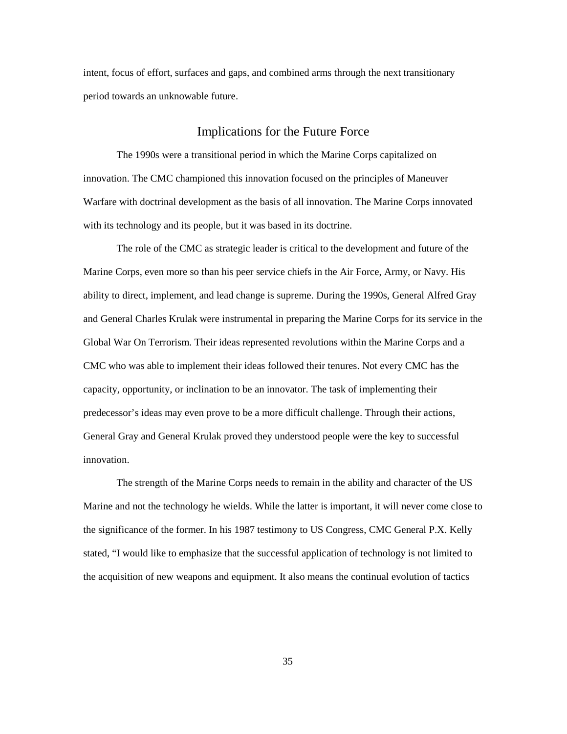intent, focus of effort, surfaces and gaps, and combined arms through the next transitionary period towards an unknowable future.

## Implications for the Future Force

<span id="page-41-0"></span>The 1990s were a transitional period in which the Marine Corps capitalized on innovation. The CMC championed this innovation focused on the principles of Maneuver Warfare with doctrinal development as the basis of all innovation. The Marine Corps innovated with its technology and its people, but it was based in its doctrine.

The role of the CMC as strategic leader is critical to the development and future of the Marine Corps, even more so than his peer service chiefs in the Air Force, Army, or Navy. His ability to direct, implement, and lead change is supreme. During the 1990s, General Alfred Gray and General Charles Krulak were instrumental in preparing the Marine Corps for its service in the Global War On Terrorism. Their ideas represented revolutions within the Marine Corps and a CMC who was able to implement their ideas followed their tenures. Not every CMC has the capacity, opportunity, or inclination to be an innovator. The task of implementing their predecessor's ideas may even prove to be a more difficult challenge. Through their actions, General Gray and General Krulak proved they understood people were the key to successful innovation.

The strength of the Marine Corps needs to remain in the ability and character of the US Marine and not the technology he wields. While the latter is important, it will never come close to the significance of the former. In his 1987 testimony to US Congress, CMC General P.X. Kelly stated, "I would like to emphasize that the successful application of technology is not limited to the acquisition of new weapons and equipment. It also means the continual evolution of tactics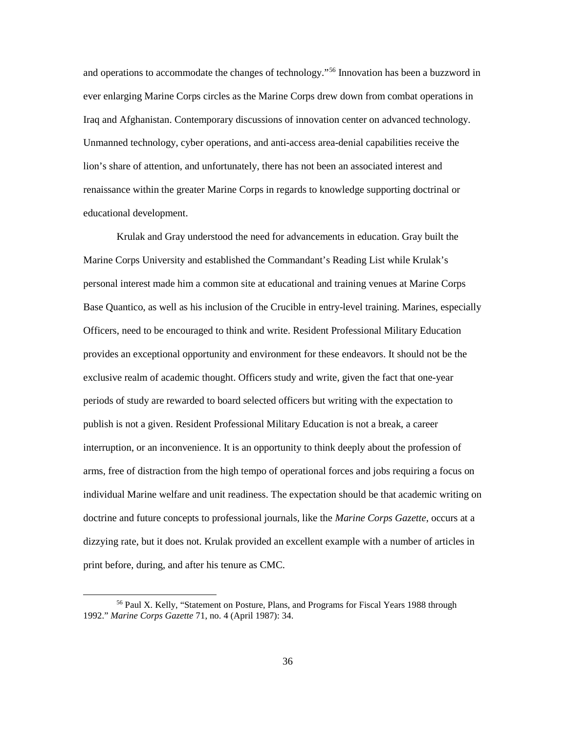and operations to accommodate the changes of technology."[56](#page-42-0) Innovation has been a buzzword in ever enlarging Marine Corps circles as the Marine Corps drew down from combat operations in Iraq and Afghanistan. Contemporary discussions of innovation center on advanced technology. Unmanned technology, cyber operations, and anti-access area-denial capabilities receive the lion's share of attention, and unfortunately, there has not been an associated interest and renaissance within the greater Marine Corps in regards to knowledge supporting doctrinal or educational development.

Krulak and Gray understood the need for advancements in education. Gray built the Marine Corps University and established the Commandant's Reading List while Krulak's personal interest made him a common site at educational and training venues at Marine Corps Base Quantico, as well as his inclusion of the Crucible in entry-level training. Marines, especially Officers, need to be encouraged to think and write. Resident Professional Military Education provides an exceptional opportunity and environment for these endeavors. It should not be the exclusive realm of academic thought. Officers study and write, given the fact that one-year periods of study are rewarded to board selected officers but writing with the expectation to publish is not a given. Resident Professional Military Education is not a break, a career interruption, or an inconvenience. It is an opportunity to think deeply about the profession of arms, free of distraction from the high tempo of operational forces and jobs requiring a focus on individual Marine welfare and unit readiness. The expectation should be that academic writing on doctrine and future concepts to professional journals, like the *Marine Corps Gazette*, occurs at a dizzying rate, but it does not. Krulak provided an excellent example with a number of articles in print before, during, and after his tenure as CMC.

<span id="page-42-0"></span> <sup>56</sup> Paul X. Kelly, "Statement on Posture, Plans, and Programs for Fiscal Years 1988 through 1992." *Marine Corps Gazette* 71, no. 4 (April 1987): 34.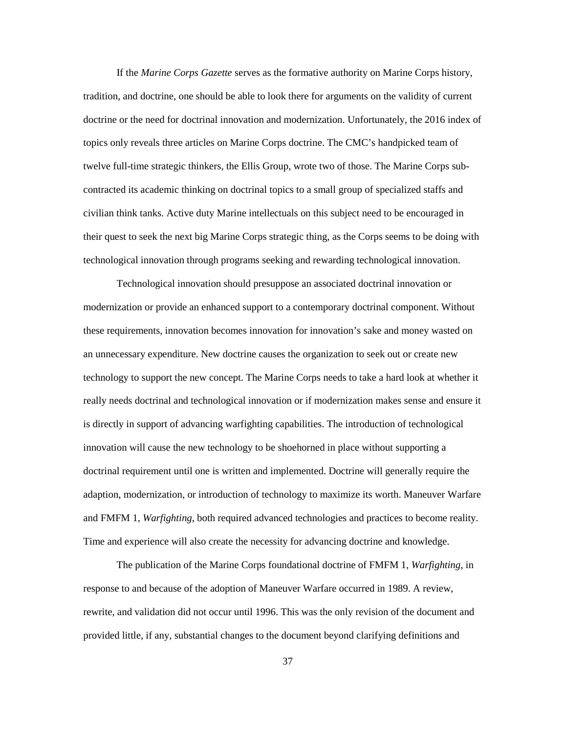If the *Marine Corps Gazette* serves as the formative authority on Marine Corps history, tradition, and doctrine, one should be able to look there for arguments on the validity of current doctrine or the need for doctrinal innovation and modernization. Unfortunately, the 2016 index of topics only reveals three articles on Marine Corps doctrine. The CMC's handpicked team of twelve full-time strategic thinkers, the Ellis Group, wrote two of those. The Marine Corps subcontracted its academic thinking on doctrinal topics to a small group of specialized staffs and civilian think tanks. Active duty Marine intellectuals on this subject need to be encouraged in their quest to seek the next big Marine Corps strategic thing, as the Corps seems to be doing with technological innovation through programs seeking and rewarding technological innovation.

Technological innovation should presuppose an associated doctrinal innovation or modernization or provide an enhanced support to a contemporary doctrinal component. Without these requirements, innovation becomes innovation for innovation's sake and money wasted on an unnecessary expenditure. New doctrine causes the organization to seek out or create new technology to support the new concept. The Marine Corps needs to take a hard look at whether it really needs doctrinal and technological innovation or if modernization makes sense and ensure it is directly in support of advancing warfighting capabilities. The introduction of technological innovation will cause the new technology to be shoehorned in place without supporting a doctrinal requirement until one is written and implemented. Doctrine will generally require the adaption, modernization, or introduction of technology to maximize its worth. Maneuver Warfare and FMFM 1, *Warfighting*, both required advanced technologies and practices to become reality. Time and experience will also create the necessity for advancing doctrine and knowledge.

The publication of the Marine Corps foundational doctrine of FMFM 1, *Warfighting*, in response to and because of the adoption of Maneuver Warfare occurred in 1989. A review, rewrite, and validation did not occur until 1996. This was the only revision of the document and provided little, if any, substantial changes to the document beyond clarifying definitions and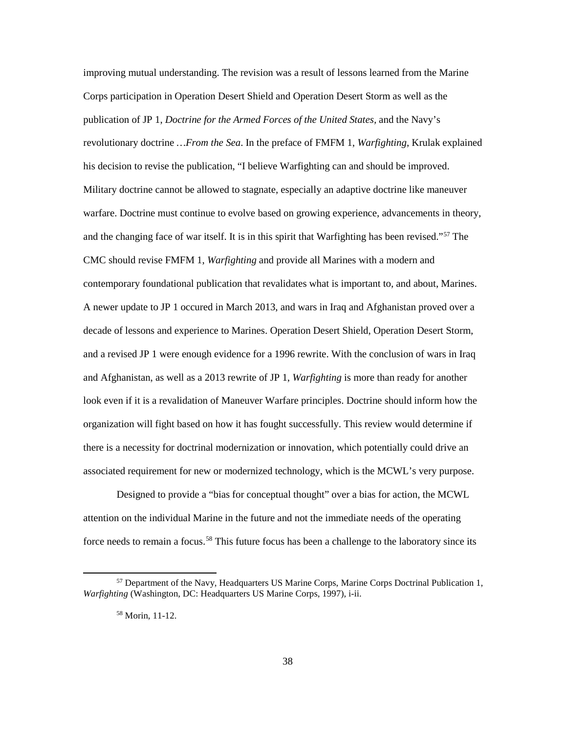improving mutual understanding. The revision was a result of lessons learned from the Marine Corps participation in Operation Desert Shield and Operation Desert Storm as well as the publication of JP 1, *Doctrine for the Armed Forces of the United States,* and the Navy's revolutionary doctrine *…From the Sea*. In the preface of FMFM 1, *Warfighting*, Krulak explained his decision to revise the publication, "I believe Warfighting can and should be improved. Military doctrine cannot be allowed to stagnate, especially an adaptive doctrine like maneuver warfare. Doctrine must continue to evolve based on growing experience, advancements in theory, and the changing face of war itself. It is in this spirit that Warfighting has been revised."<sup>[57](#page-44-0)</sup> The CMC should revise FMFM 1, *Warfighting* and provide all Marines with a modern and contemporary foundational publication that revalidates what is important to, and about, Marines. A newer update to JP 1 occured in March 2013, and wars in Iraq and Afghanistan proved over a decade of lessons and experience to Marines. Operation Desert Shield, Operation Desert Storm, and a revised JP 1 were enough evidence for a 1996 rewrite. With the conclusion of wars in Iraq and Afghanistan, as well as a 2013 rewrite of JP 1, *Warfighting* is more than ready for another look even if it is a revalidation of Maneuver Warfare principles. Doctrine should inform how the organization will fight based on how it has fought successfully. This review would determine if there is a necessity for doctrinal modernization or innovation, which potentially could drive an associated requirement for new or modernized technology, which is the MCWL's very purpose.

Designed to provide a "bias for conceptual thought" over a bias for action, the MCWL attention on the individual Marine in the future and not the immediate needs of the operating force needs to remain a focus.<sup>[58](#page-44-1)</sup> This future focus has been a challenge to the laboratory since its

<span id="page-44-1"></span><span id="page-44-0"></span> $<sup>57</sup>$  Department of the Navy, Headquarters US Marine Corps, Marine Corps Doctrinal Publication 1,</sup> *Warfighting* (Washington, DC: Headquarters US Marine Corps, 1997), i-ii.

<sup>58</sup> Morin, 11-12.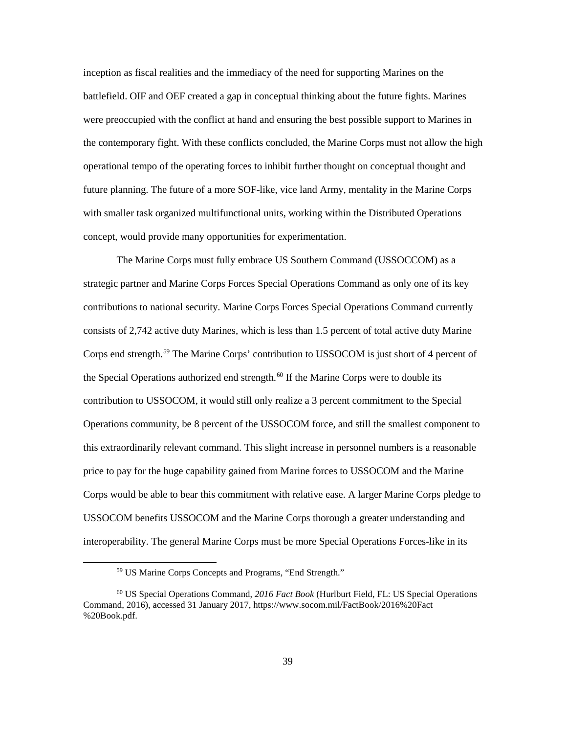inception as fiscal realities and the immediacy of the need for supporting Marines on the battlefield. OIF and OEF created a gap in conceptual thinking about the future fights. Marines were preoccupied with the conflict at hand and ensuring the best possible support to Marines in the contemporary fight. With these conflicts concluded, the Marine Corps must not allow the high operational tempo of the operating forces to inhibit further thought on conceptual thought and future planning. The future of a more SOF-like, vice land Army, mentality in the Marine Corps with smaller task organized multifunctional units, working within the Distributed Operations concept, would provide many opportunities for experimentation.

The Marine Corps must fully embrace US Southern Command (USSOCCOM) as a strategic partner and Marine Corps Forces Special Operations Command as only one of its key contributions to national security. Marine Corps Forces Special Operations Command currently consists of 2,742 active duty Marines, which is less than 1.5 percent of total active duty Marine Corps end strength.[59](#page-45-0) The Marine Corps' contribution to USSOCOM is just short of 4 percent of the Special Operations authorized end strength.<sup>[60](#page-45-1)</sup> If the Marine Corps were to double its contribution to USSOCOM, it would still only realize a 3 percent commitment to the Special Operations community, be 8 percent of the USSOCOM force, and still the smallest component to this extraordinarily relevant command. This slight increase in personnel numbers is a reasonable price to pay for the huge capability gained from Marine forces to USSOCOM and the Marine Corps would be able to bear this commitment with relative ease. A larger Marine Corps pledge to USSOCOM benefits USSOCOM and the Marine Corps thorough a greater understanding and interoperability. The general Marine Corps must be more Special Operations Forces-like in its

 <sup>59</sup> US Marine Corps Concepts and Programs, "End Strength."

<span id="page-45-1"></span><span id="page-45-0"></span><sup>60</sup> US Special Operations Command, *2016 Fact Book* (Hurlburt Field, FL: US Special Operations Command, 2016), accessed 31 January 2017, https://www.socom.mil/FactBook/2016%20Fact %20Book.pdf.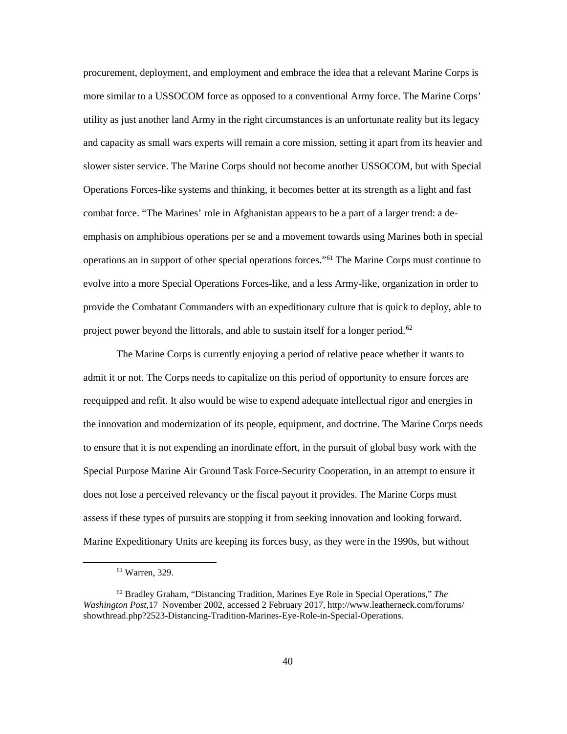procurement, deployment, and employment and embrace the idea that a relevant Marine Corps is more similar to a USSOCOM force as opposed to a conventional Army force. The Marine Corps' utility as just another land Army in the right circumstances is an unfortunate reality but its legacy and capacity as small wars experts will remain a core mission, setting it apart from its heavier and slower sister service. The Marine Corps should not become another USSOCOM, but with Special Operations Forces-like systems and thinking, it becomes better at its strength as a light and fast combat force. "The Marines' role in Afghanistan appears to be a part of a larger trend: a deemphasis on amphibious operations per se and a movement towards using Marines both in special operations an in support of other special operations forces."[61](#page-46-0) The Marine Corps must continue to evolve into a more Special Operations Forces-like, and a less Army-like, organization in order to provide the Combatant Commanders with an expeditionary culture that is quick to deploy, able to project power beyond the littorals, and able to sustain itself for a longer period.<sup>[62](#page-46-1)</sup>

The Marine Corps is currently enjoying a period of relative peace whether it wants to admit it or not. The Corps needs to capitalize on this period of opportunity to ensure forces are reequipped and refit. It also would be wise to expend adequate intellectual rigor and energies in the innovation and modernization of its people, equipment, and doctrine. The Marine Corps needs to ensure that it is not expending an inordinate effort, in the pursuit of global busy work with the Special Purpose Marine Air Ground Task Force-Security Cooperation, in an attempt to ensure it does not lose a perceived relevancy or the fiscal payout it provides. The Marine Corps must assess if these types of pursuits are stopping it from seeking innovation and looking forward. Marine Expeditionary Units are keeping its forces busy, as they were in the 1990s, but without

 <sup>61</sup> Warren, 329.

<span id="page-46-1"></span><span id="page-46-0"></span><sup>62</sup> Bradley Graham, "Distancing Tradition, Marines Eye Role in Special Operations," *The Washington Post*,17 November 2002, accessed 2 February 2017, http://www.leatherneck.com/forums/ showthread.php?2523-Distancing-Tradition-Marines-Eye-Role-in-Special-Operations.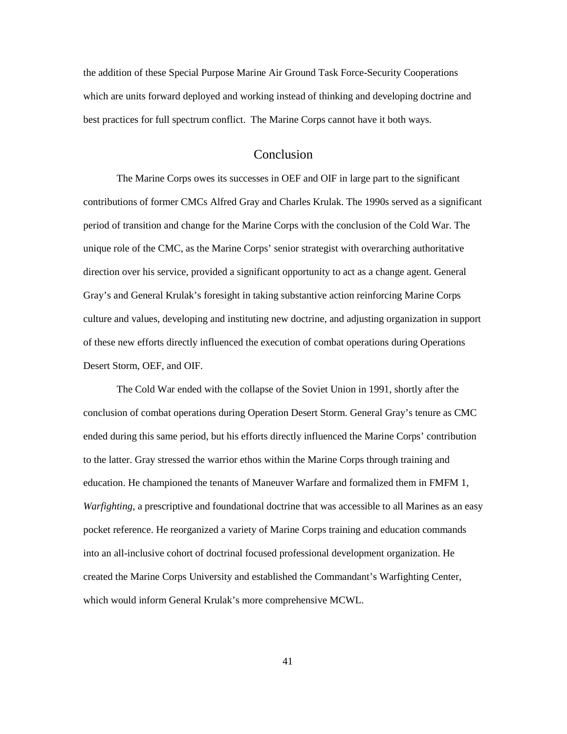the addition of these Special Purpose Marine Air Ground Task Force-Security Cooperations which are units forward deployed and working instead of thinking and developing doctrine and best practices for full spectrum conflict. The Marine Corps cannot have it both ways.

## Conclusion

<span id="page-47-0"></span>The Marine Corps owes its successes in OEF and OIF in large part to the significant contributions of former CMCs Alfred Gray and Charles Krulak. The 1990s served as a significant period of transition and change for the Marine Corps with the conclusion of the Cold War. The unique role of the CMC, as the Marine Corps' senior strategist with overarching authoritative direction over his service, provided a significant opportunity to act as a change agent. General Gray's and General Krulak's foresight in taking substantive action reinforcing Marine Corps culture and values, developing and instituting new doctrine, and adjusting organization in support of these new efforts directly influenced the execution of combat operations during Operations Desert Storm, OEF, and OIF.

The Cold War ended with the collapse of the Soviet Union in 1991, shortly after the conclusion of combat operations during Operation Desert Storm. General Gray's tenure as CMC ended during this same period, but his efforts directly influenced the Marine Corps' contribution to the latter. Gray stressed the warrior ethos within the Marine Corps through training and education. He championed the tenants of Maneuver Warfare and formalized them in FMFM 1, *Warfighting*, a prescriptive and foundational doctrine that was accessible to all Marines as an easy pocket reference. He reorganized a variety of Marine Corps training and education commands into an all-inclusive cohort of doctrinal focused professional development organization. He created the Marine Corps University and established the Commandant's Warfighting Center, which would inform General Krulak's more comprehensive MCWL.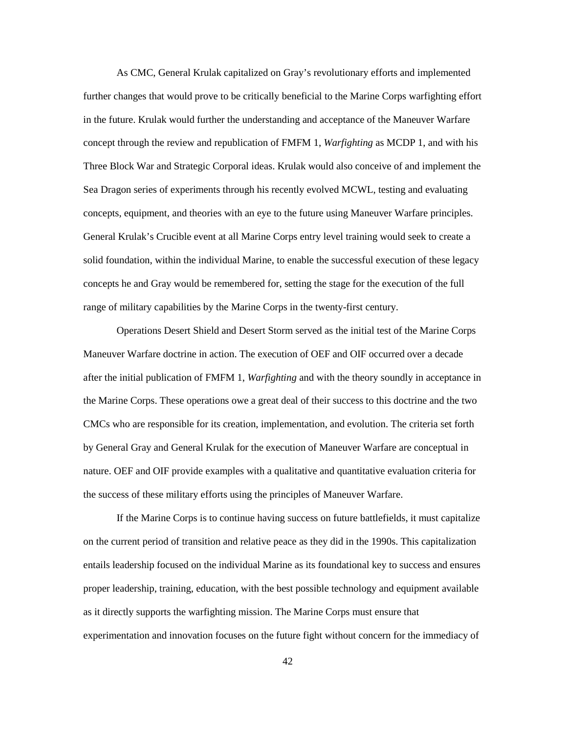As CMC, General Krulak capitalized on Gray's revolutionary efforts and implemented further changes that would prove to be critically beneficial to the Marine Corps warfighting effort in the future. Krulak would further the understanding and acceptance of the Maneuver Warfare concept through the review and republication of FMFM 1, *Warfighting* as MCDP 1, and with his Three Block War and Strategic Corporal ideas. Krulak would also conceive of and implement the Sea Dragon series of experiments through his recently evolved MCWL, testing and evaluating concepts, equipment, and theories with an eye to the future using Maneuver Warfare principles. General Krulak's Crucible event at all Marine Corps entry level training would seek to create a solid foundation, within the individual Marine, to enable the successful execution of these legacy concepts he and Gray would be remembered for, setting the stage for the execution of the full range of military capabilities by the Marine Corps in the twenty-first century.

Operations Desert Shield and Desert Storm served as the initial test of the Marine Corps Maneuver Warfare doctrine in action. The execution of OEF and OIF occurred over a decade after the initial publication of FMFM 1, *Warfighting* and with the theory soundly in acceptance in the Marine Corps. These operations owe a great deal of their success to this doctrine and the two CMCs who are responsible for its creation, implementation, and evolution. The criteria set forth by General Gray and General Krulak for the execution of Maneuver Warfare are conceptual in nature. OEF and OIF provide examples with a qualitative and quantitative evaluation criteria for the success of these military efforts using the principles of Maneuver Warfare.

If the Marine Corps is to continue having success on future battlefields, it must capitalize on the current period of transition and relative peace as they did in the 1990s. This capitalization entails leadership focused on the individual Marine as its foundational key to success and ensures proper leadership, training, education, with the best possible technology and equipment available as it directly supports the warfighting mission. The Marine Corps must ensure that experimentation and innovation focuses on the future fight without concern for the immediacy of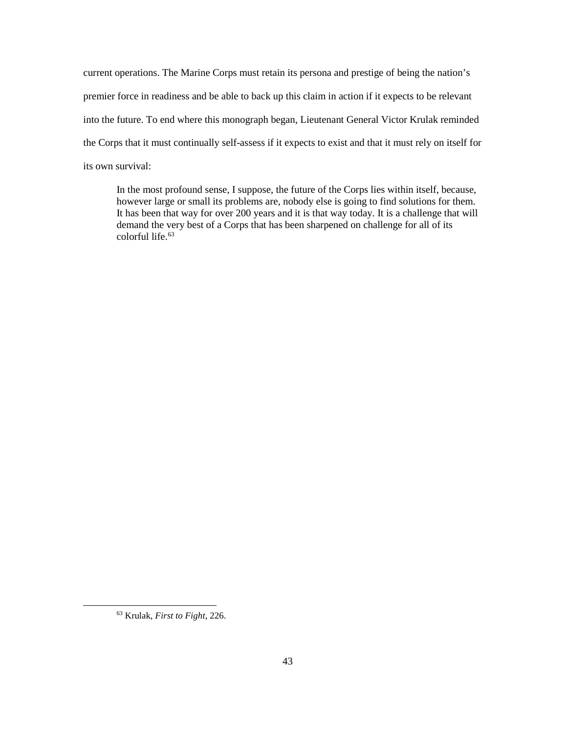current operations. The Marine Corps must retain its persona and prestige of being the nation's premier force in readiness and be able to back up this claim in action if it expects to be relevant into the future. To end where this monograph began, Lieutenant General Victor Krulak reminded the Corps that it must continually self-assess if it expects to exist and that it must rely on itself for its own survival:

In the most profound sense, I suppose, the future of the Corps lies within itself, because, however large or small its problems are, nobody else is going to find solutions for them. It has been that way for over 200 years and it is that way today. It is a challenge that will demand the very best of a Corps that has been sharpened on challenge for all of its colorful life. $63$ 

<span id="page-49-0"></span> <sup>63</sup> Krulak, *First to Fight*, 226.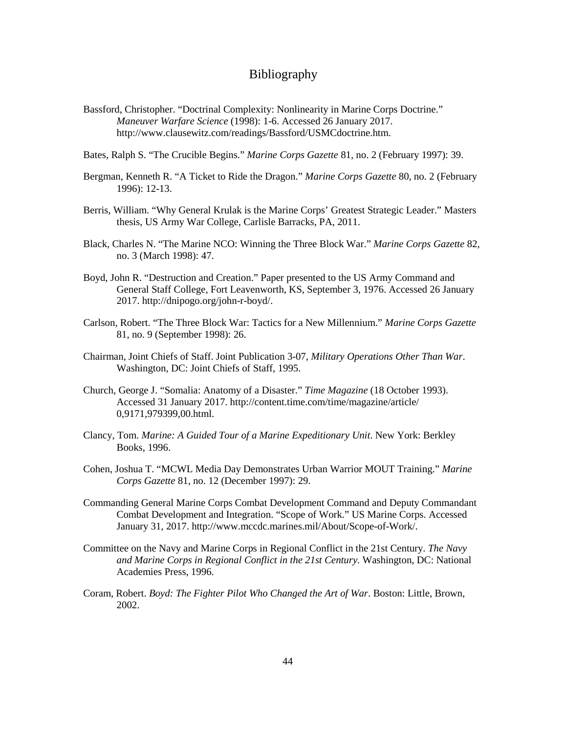## Bibliography

- <span id="page-50-0"></span>Bassford, Christopher. "Doctrinal Complexity: Nonlinearity in Marine Corps Doctrine." *Maneuver Warfare Science* (1998): 1-6. Accessed 26 January 2017. http://www.clausewitz.com/readings/Bassford/USMCdoctrine.htm.
- Bates, Ralph S. "The Crucible Begins." *Marine Corps Gazette* 81, no. 2 (February 1997): 39.
- Bergman, Kenneth R. "A Ticket to Ride the Dragon." *Marine Corps Gazette* 80, no. 2 (February 1996): 12-13.
- Berris, William. "Why General Krulak is the Marine Corps' Greatest Strategic Leader." Masters thesis, US Army War College, Carlisle Barracks, PA, 2011.
- Black, Charles N. "The Marine NCO: Winning the Three Block War." *Marine Corps Gazette* 82, no. 3 (March 1998): 47.
- Boyd, John R. "Destruction and Creation." Paper presented to the US Army Command and General Staff College, Fort Leavenworth, KS, September 3, 1976. Accessed 26 January 2017. http://dnipogo.org/john-r-boyd/.
- Carlson, Robert. "The Three Block War: Tactics for a New Millennium." *Marine Corps Gazette* 81, no. 9 (September 1998): 26.
- Chairman, Joint Chiefs of Staff. Joint Publication 3-07, *Military Operations Other Than War*. Washington, DC: Joint Chiefs of Staff, 1995.
- Church, George J. "Somalia: Anatomy of a Disaster." *Time Magazine* (18 October 1993). Accessed 31 January 2017. http://content.time.com/time/magazine/article/ 0,9171,979399,00.html.
- Clancy, Tom. *Marine: A Guided Tour of a Marine Expeditionary Unit*. New York: Berkley Books, 1996.
- Cohen, Joshua T. "MCWL Media Day Demonstrates Urban Warrior MOUT Training." *Marine Corps Gazette* 81, no. 12 (December 1997): 29.
- Commanding General Marine Corps Combat Development Command and Deputy Commandant Combat Development and Integration. "Scope of Work." US Marine Corps. Accessed January 31, 2017. http://www.mccdc.marines.mil/About/Scope-of-Work/.
- Committee on the Navy and Marine Corps in Regional Conflict in the 21st Century. *The Navy and Marine Corps in Regional Conflict in the 21st Century.* Washington, DC: National Academies Press, 1996.
- Coram, Robert. *Boyd: The Fighter Pilot Who Changed the Art of War*. Boston: Little, Brown, 2002.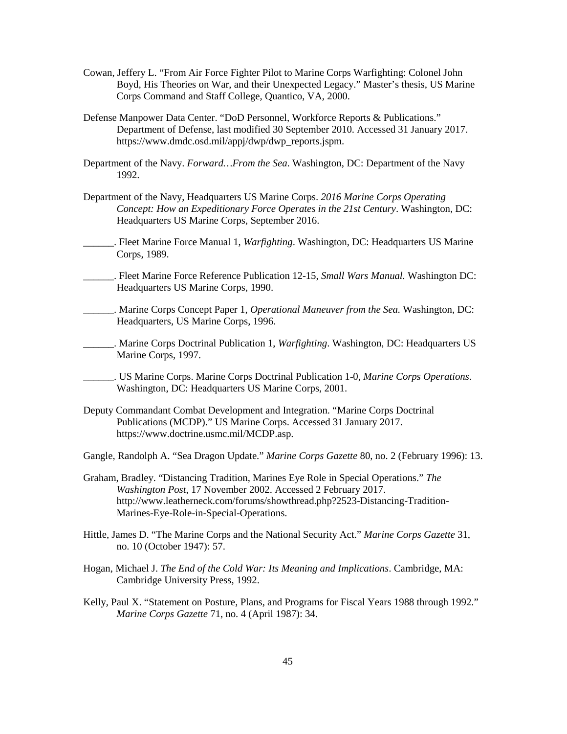- Cowan, Jeffery L. "From Air Force Fighter Pilot to Marine Corps Warfighting: Colonel John Boyd, His Theories on War, and their Unexpected Legacy." Master's thesis, US Marine Corps Command and Staff College, Quantico, VA, 2000.
- Defense Manpower Data Center. "DoD Personnel, Workforce Reports & Publications." Department of Defense, last modified 30 September 2010. Accessed 31 January 2017. https://www.dmdc.osd.mil/appj/dwp/dwp\_reports.jspm.
- Department of the Navy. *Forward…From the Sea*. Washington, DC: Department of the Navy 1992.
- Department of the Navy, Headquarters US Marine Corps. *2016 Marine Corps Operating Concept: How an Expeditionary Force Operates in the 21st Century*. Washington, DC: Headquarters US Marine Corps, September 2016.
- \_\_\_\_\_\_. Fleet Marine Force Manual 1, *Warfighting*. Washington, DC: Headquarters US Marine Corps, 1989.
- \_\_\_\_\_\_. Fleet Marine Force Reference Publication 12-15, *Small Wars Manual.* Washington DC: Headquarters US Marine Corps, 1990.
- \_\_\_\_\_\_. Marine Corps Concept Paper 1, *Operational Maneuver from the Sea.* Washington, DC: Headquarters, US Marine Corps, 1996.
- \_\_\_\_\_\_. Marine Corps Doctrinal Publication 1, *Warfighting*. Washington, DC: Headquarters US Marine Corps, 1997.
	- \_\_\_\_\_\_. US Marine Corps. Marine Corps Doctrinal Publication 1-0, *Marine Corps Operations*. Washington, DC: Headquarters US Marine Corps, 2001.
- Deputy Commandant Combat Development and Integration. "Marine Corps Doctrinal Publications (MCDP)." US Marine Corps. Accessed 31 January 2017. https://www.doctrine.usmc.mil/MCDP.asp.
- Gangle, Randolph A. "Sea Dragon Update." *Marine Corps Gazette* 80, no. 2 (February 1996): 13.
- Graham, Bradley. "Distancing Tradition, Marines Eye Role in Special Operations." *The Washington Post*, 17 November 2002. Accessed 2 February 2017. http://www.leatherneck.com/forums/showthread.php?2523-Distancing-Tradition-Marines-Eye-Role-in-Special-Operations.
- Hittle, James D. "The Marine Corps and the National Security Act." *Marine Corps Gazette* 31, no. 10 (October 1947): 57.
- Hogan, Michael J. *The End of the Cold War: Its Meaning and Implications*. Cambridge, MA: Cambridge University Press, 1992.
- Kelly, Paul X. "Statement on Posture, Plans, and Programs for Fiscal Years 1988 through 1992." *Marine Corps Gazette* 71, no. 4 (April 1987): 34.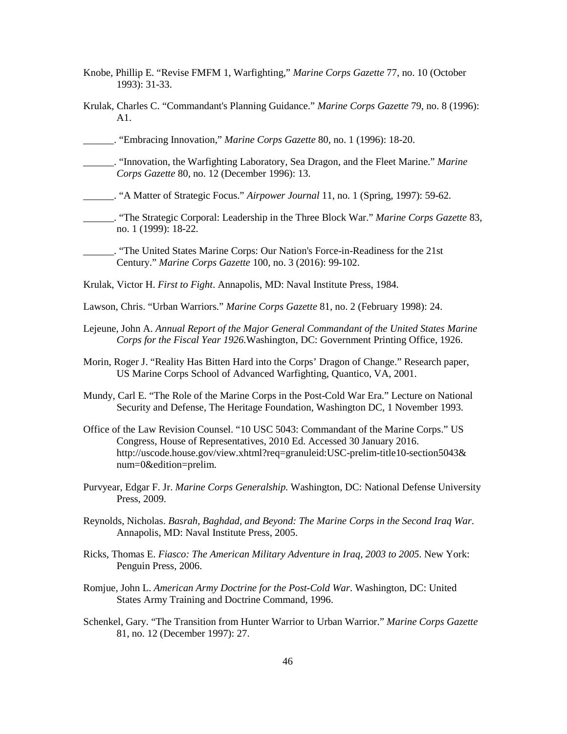- Knobe, Phillip E. "Revise FMFM 1, Warfighting," *Marine Corps Gazette* 77, no. 10 (October 1993): 31-33.
- Krulak, Charles C. "Commandant's Planning Guidance." *Marine Corps Gazette* 79, no. 8 (1996): A1.
- \_\_\_\_\_\_. "Embracing Innovation," *Marine Corps Gazette* 80, no. 1 (1996): 18-20.
- \_\_\_\_\_\_. "Innovation, the Warfighting Laboratory, Sea Dragon, and the Fleet Marine." *Marine Corps Gazette* 80, no. 12 (December 1996): 13.
- \_\_\_\_\_\_. "A Matter of Strategic Focus." *Airpower Journal* 11, no. 1 (Spring, 1997): 59-62.
- \_\_\_\_\_\_. "The Strategic Corporal: Leadership in the Three Block War." *Marine Corps Gazette* 83, no. 1 (1999): 18-22.
- \_\_\_\_\_\_. "The United States Marine Corps: Our Nation's Force-in-Readiness for the 21st Century." *Marine Corps Gazette* 100, no. 3 (2016): 99-102.
- Krulak, Victor H. *First to Fight*. Annapolis, MD: Naval Institute Press, 1984.
- Lawson, Chris. "Urban Warriors." *Marine Corps Gazette* 81, no. 2 (February 1998): 24.
- Lejeune, John A. *Annual Report of the Major General Commandant of the United States Marine Corps for the Fiscal Year 1926.*Washington, DC: Government Printing Office, 1926.
- Morin, Roger J. "Reality Has Bitten Hard into the Corps' Dragon of Change." Research paper, US Marine Corps School of Advanced Warfighting, Quantico, VA, 2001.
- Mundy, Carl E. "The Role of the Marine Corps in the Post-Cold War Era." Lecture on National Security and Defense, The Heritage Foundation, Washington DC, 1 November 1993.
- Office of the Law Revision Counsel. "10 USC 5043: Commandant of the Marine Corps." US Congress, House of Representatives, 2010 Ed. Accessed 30 January 2016. http://uscode.house.gov/view.xhtml?req=granuleid:USC-prelim-title10-section5043& num=0&edition=prelim.
- Purvyear, Edgar F. Jr. *Marine Corps Generalship.* Washington, DC: National Defense University Press, 2009.
- Reynolds, Nicholas. *Basrah, Baghdad, and Beyond: The Marine Corps in the Second Iraq War*. Annapolis, MD: Naval Institute Press, 2005.
- Ricks, Thomas E. *Fiasco: The American Military Adventure in Iraq, 2003 to 2005*. New York: Penguin Press, 2006.
- Romjue, John L. *American Army Doctrine for the Post-Cold War*. Washington, DC: United States Army Training and Doctrine Command, 1996.
- Schenkel, Gary. "The Transition from Hunter Warrior to Urban Warrior." *Marine Corps Gazette* 81, no. 12 (December 1997): 27.